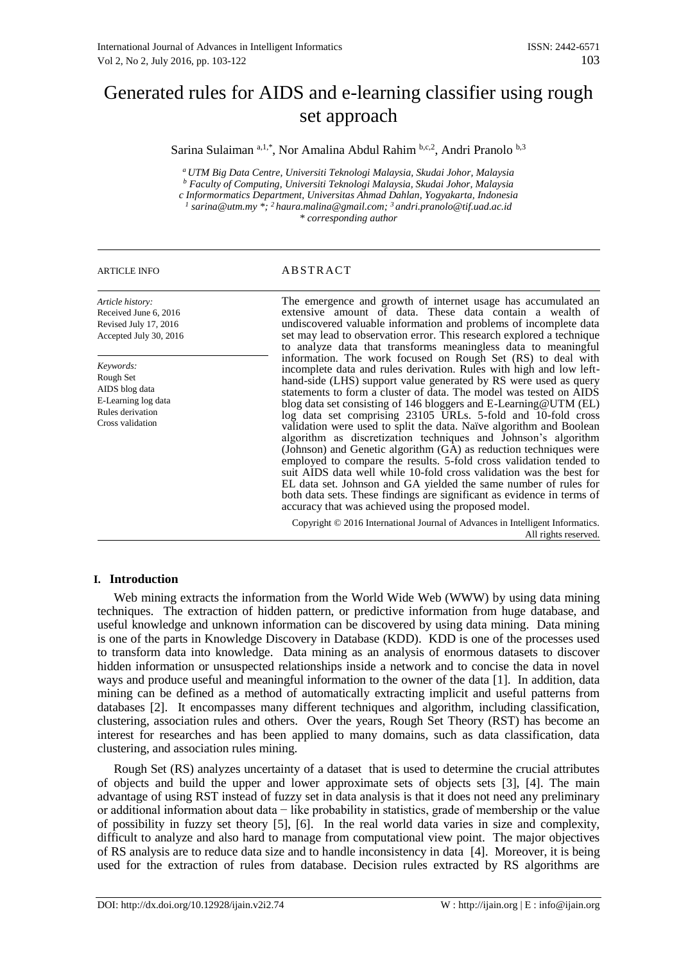# Generated rules for AIDS and e-learning classifier using rough set approach

Sarina Sulaiman <sup>a, 1,\*</sup>, Nor Amalina Abdul Rahim <sup>b,c,2</sup>, Andri Pranolo <sup>b,3</sup>

*<sup>a</sup> UTM Big Data Centre, Universiti Teknologi Malaysia, Skudai Johor, Malaysia <sup>b</sup> Faculty of Computing, Universiti Teknologi Malaysia, Skudai Johor, Malaysia*

*c Informormatics Department, Universitas Ahmad Dahlan, Yogyakarta, Indonesia*

*1 sarina@utm.my \*; <sup>2</sup>haura.malina@gmail.com; <sup>3</sup>andri.pranolo@tif.uad.ac.id*

*\* corresponding author*

# ARTICLE INFO ABSTRACT

*Article history:* Received June 6, 2016 Revised July 17, 2016 Accepted July 30, 2016

*Keywords:* Rough Set AIDS blog data E-Learning log data Rules derivation Cross validation

The emergence and growth of internet usage has accumulated an extensive amount of data. These data contain a wealth of undiscovered valuable information and problems of incomplete data set may lead to observation error. This research explored a technique to analyze data that transforms meaningless data to meaningful information. The work focused on Rough Set (RS) to deal with incomplete data and rules derivation. Rules with high and low lefthand-side (LHS) support value generated by RS were used as query statements to form a cluster of data. The model was tested on AIDS blog data set consisting of 146 bloggers and E-Learning@UTM (EL) log data set comprising 23105 URLs. 5-fold and 10-fold cross validation were used to split the data. Naïve algorithm and Boolean algorithm as discretization techniques and Johnson's algorithm (Johnson) and Genetic algorithm (GA) as reduction techniques were employed to compare the results. 5-fold cross validation tended to suit AIDS data well while 10-fold cross validation was the best for EL data set. Johnson and GA yielded the same number of rules for both data sets. These findings are significant as evidence in terms of accuracy that was achieved using the proposed model.

Copyright © 2016 International Journal of Advances in Intelligent Informatics. All rights reserved.

# **I. Introduction**

Web mining extracts the information from the World Wide Web (WWW) by using data mining techniques. The extraction of hidden pattern, or predictive information from huge database, and useful knowledge and unknown information can be discovered by using data mining. Data mining is one of the parts in Knowledge Discovery in Database (KDD). KDD is one of the processes used to transform data into knowledge. Data mining as an analysis of enormous datasets to discover hidden information or unsuspected relationships inside a network and to concise the data in novel ways and produce useful and meaningful information to the owner of the data [1]. In addition, data mining can be defined as a method of automatically extracting implicit and useful patterns from databases [2]. It encompasses many different techniques and algorithm, including classification, clustering, association rules and others. Over the years, Rough Set Theory (RST) has become an interest for researches and has been applied to many domains, such as data classification, data clustering, and association rules mining.

Rough Set (RS) analyzes uncertainty of a dataset that is used to determine the crucial attributes of objects and build the upper and lower approximate sets of objects sets [3], [4]. The main advantage of using RST instead of fuzzy set in data analysis is that it does not need any preliminary or additional information about data − like probability in statistics, grade of membership or the value of possibility in fuzzy set theory [5], [6]. In the real world data varies in size and complexity, difficult to analyze and also hard to manage from computational view point. The major objectives of RS analysis are to reduce data size and to handle inconsistency in data [4]. Moreover, it is being used for the extraction of rules from database. Decision rules extracted by RS algorithms are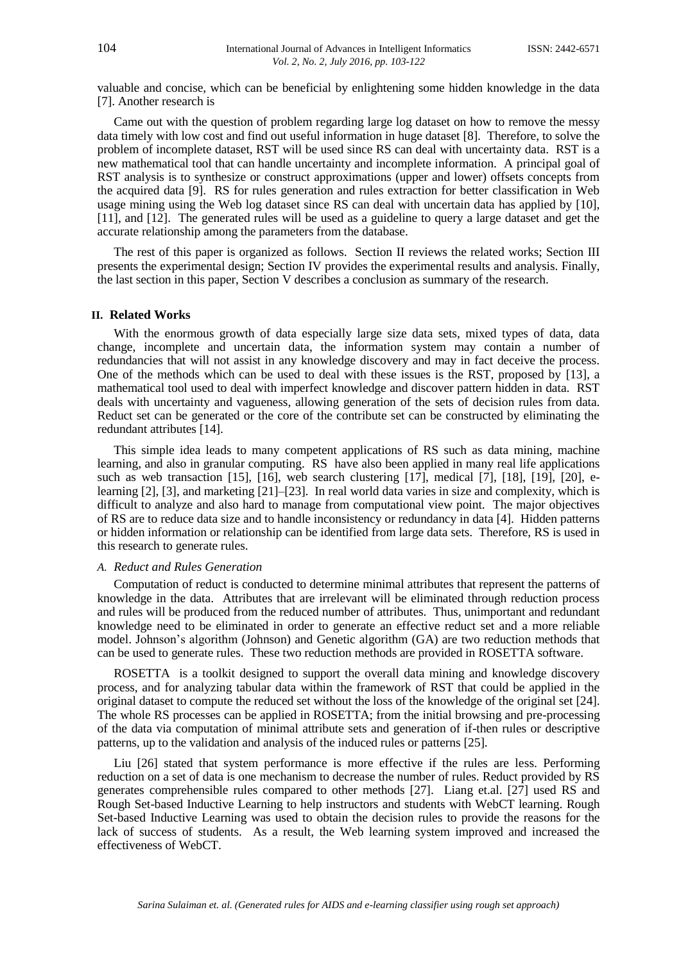valuable and concise, which can be beneficial by enlightening some hidden knowledge in the data [7]. Another research is

Came out with the question of problem regarding large log dataset on how to remove the messy data timely with low cost and find out useful information in huge dataset [8]. Therefore, to solve the problem of incomplete dataset, RST will be used since RS can deal with uncertainty data. RST is a new mathematical tool that can handle uncertainty and incomplete information. A principal goal of RST analysis is to synthesize or construct approximations (upper and lower) offsets concepts from the acquired data [9]. RS for rules generation and rules extraction for better classification in Web usage mining using the Web log dataset since RS can deal with uncertain data has applied by [10], [11], and [12]. The generated rules will be used as a guideline to query a large dataset and get the accurate relationship among the parameters from the database.

The rest of this paper is organized as follows. Section II reviews the related works; Section III presents the experimental design; Section IV provides the experimental results and analysis. Finally, the last section in this paper, Section V describes a conclusion as summary of the research.

#### **II. Related Works**

With the enormous growth of data especially large size data sets, mixed types of data, data change, incomplete and uncertain data, the information system may contain a number of redundancies that will not assist in any knowledge discovery and may in fact deceive the process. One of the methods which can be used to deal with these issues is the RST, proposed by [13], a mathematical tool used to deal with imperfect knowledge and discover pattern hidden in data. RST deals with uncertainty and vagueness, allowing generation of the sets of decision rules from data. Reduct set can be generated or the core of the contribute set can be constructed by eliminating the redundant attributes [14].

This simple idea leads to many competent applications of RS such as data mining, machine learning, and also in granular computing. RS have also been applied in many real life applications such as web transaction [15], [16], web search clustering [17], medical [7], [18], [19], [20], elearning [2], [3], and marketing [21]–[23]. In real world data varies in size and complexity, which is difficult to analyze and also hard to manage from computational view point. The major objectives of RS are to reduce data size and to handle inconsistency or redundancy in data [4]. Hidden patterns or hidden information or relationship can be identified from large data sets. Therefore, RS is used in this research to generate rules.

# *A. Reduct and Rules Generation*

Computation of reduct is conducted to determine minimal attributes that represent the patterns of knowledge in the data. Attributes that are irrelevant will be eliminated through reduction process and rules will be produced from the reduced number of attributes. Thus, unimportant and redundant knowledge need to be eliminated in order to generate an effective reduct set and a more reliable model. Johnson's algorithm (Johnson) and Genetic algorithm (GA) are two reduction methods that can be used to generate rules. These two reduction methods are provided in ROSETTA software.

ROSETTA is a toolkit designed to support the overall data mining and knowledge discovery process, and for analyzing tabular data within the framework of RST that could be applied in the original dataset to compute the reduced set without the loss of the knowledge of the original set [24]. The whole RS processes can be applied in ROSETTA; from the initial browsing and pre-processing of the data via computation of minimal attribute sets and generation of if-then rules or descriptive patterns, up to the validation and analysis of the induced rules or patterns [25].

Liu [26] stated that system performance is more effective if the rules are less. Performing reduction on a set of data is one mechanism to decrease the number of rules. Reduct provided by RS generates comprehensible rules compared to other methods [27]. Liang et.al. [27] used RS and Rough Set-based Inductive Learning to help instructors and students with WebCT learning. Rough Set-based Inductive Learning was used to obtain the decision rules to provide the reasons for the lack of success of students. As a result, the Web learning system improved and increased the effectiveness of WebCT.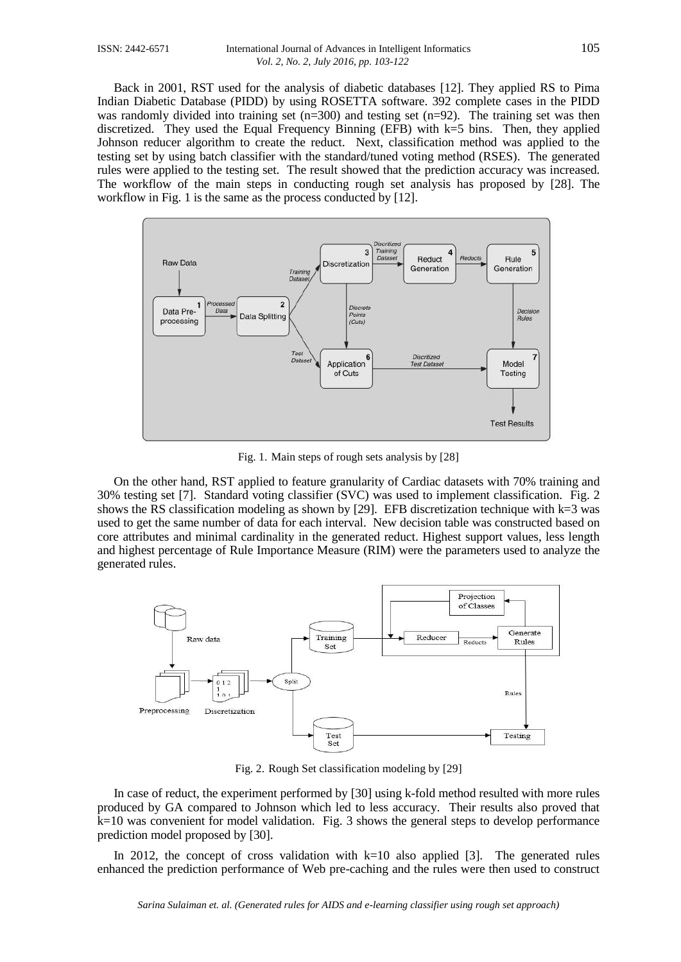Back in 2001, RST used for the analysis of diabetic databases [12]. They applied RS to Pima Indian Diabetic Database (PIDD) by using ROSETTA software. 392 complete cases in the PIDD was randomly divided into training set  $(n=300)$  and testing set  $(n=92)$ . The training set was then discretized. They used the Equal Frequency Binning (EFB) with k=5 bins. Then, they applied Johnson reducer algorithm to create the reduct. Next, classification method was applied to the testing set by using batch classifier with the standard/tuned voting method (RSES). The generated rules were applied to the testing set. The result showed that the prediction accuracy was increased. The workflow of the main steps in conducting rough set analysis has proposed by [28]. The workflow in Fig. 1 is the same as the process conducted by [12].



Fig. 1. Main steps of rough sets analysis by [28]

On the other hand, RST applied to feature granularity of Cardiac datasets with 70% training and 30% testing set [7]. Standard voting classifier (SVC) was used to implement classification. Fig. 2 shows the RS classification modeling as shown by [29]. EFB discretization technique with  $k=3$  was used to get the same number of data for each interval. New decision table was constructed based on core attributes and minimal cardinality in the generated reduct. Highest support values, less length and highest percentage of Rule Importance Measure (RIM) were the parameters used to analyze the generated rules.



Fig. 2. Rough Set classification modeling by [29]

In case of reduct, the experiment performed by [30] using k-fold method resulted with more rules produced by GA compared to Johnson which led to less accuracy. Their results also proved that  $k=10$  was convenient for model validation. Fig. 3 shows the general steps to develop performance prediction model proposed by [30].

In 2012, the concept of cross validation with  $k=10$  also applied [3]. The generated rules enhanced the prediction performance of Web pre-caching and the rules were then used to construct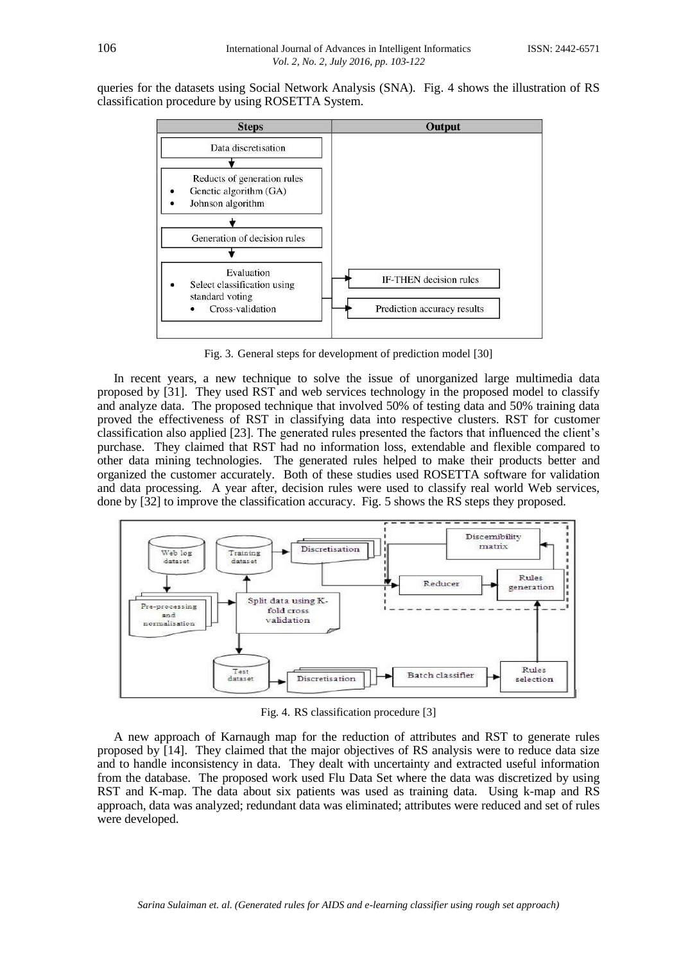queries for the datasets using Social Network Analysis (SNA). Fig. 4 shows the illustration of RS classification procedure by using ROSETTA System.



Fig. 3. General steps for development of prediction model [30]

In recent years, a new technique to solve the issue of unorganized large multimedia data proposed by [31]. They used RST and web services technology in the proposed model to classify and analyze data. The proposed technique that involved 50% of testing data and 50% training data proved the effectiveness of RST in classifying data into respective clusters. RST for customer classification also applied [23]. The generated rules presented the factors that influenced the client's purchase. They claimed that RST had no information loss, extendable and flexible compared to other data mining technologies. The generated rules helped to make their products better and organized the customer accurately. Both of these studies used ROSETTA software for validation and data processing. A year after, decision rules were used to classify real world Web services, done by [32] to improve the classification accuracy. Fig. 5 shows the RS steps they proposed.



Fig. 4. RS classification procedure [3]

A new approach of Karnaugh map for the reduction of attributes and RST to generate rules proposed by [14]. They claimed that the major objectives of RS analysis were to reduce data size and to handle inconsistency in data. They dealt with uncertainty and extracted useful information from the database. The proposed work used Flu Data Set where the data was discretized by using RST and K-map. The data about six patients was used as training data. Using k-map and RS approach, data was analyzed; redundant data was eliminated; attributes were reduced and set of rules were developed.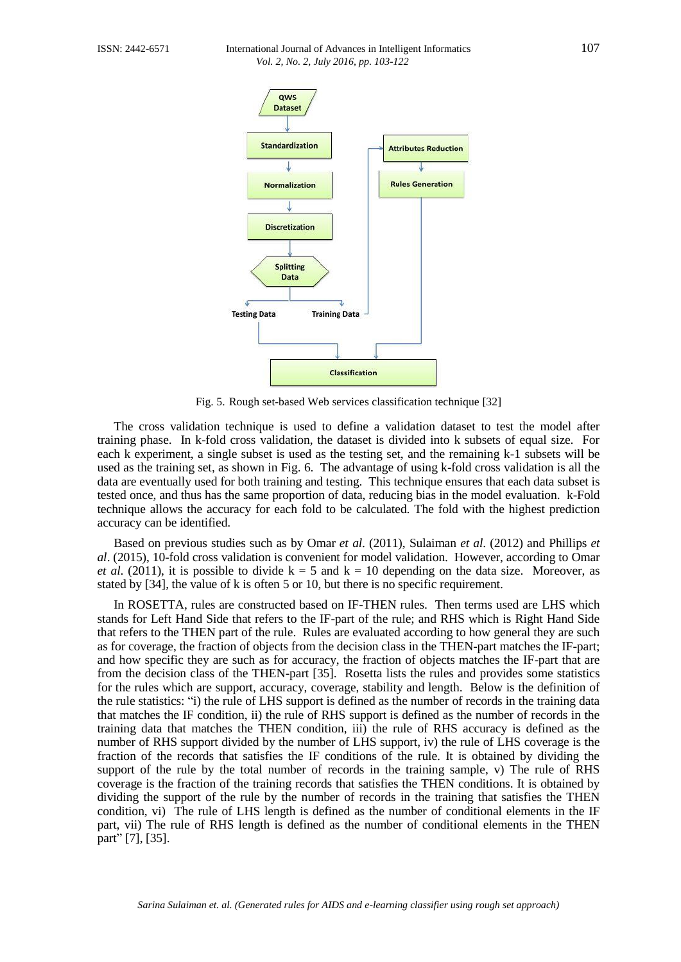

Fig. 5. Rough set-based Web services classification technique [32]

The cross validation technique is used to define a validation dataset to test the model after training phase. In k-fold cross validation, the dataset is divided into k subsets of equal size. For each k experiment, a single subset is used as the testing set, and the remaining k-1 subsets will be used as the training set, as shown in Fig. 6. The advantage of using k-fold cross validation is all the data are eventually used for both training and testing. This technique ensures that each data subset is tested once, and thus has the same proportion of data, reducing bias in the model evaluation. k-Fold technique allows the accuracy for each fold to be calculated. The fold with the highest prediction accuracy can be identified.

Based on previous studies such as by Omar *et al*. (2011), Sulaiman *et al*. (2012) and Phillips *et al*. (2015), 10-fold cross validation is convenient for model validation. However, according to Omar *et al.* (2011), it is possible to divide  $k = 5$  and  $k = 10$  depending on the data size. Moreover, as stated by [34], the value of k is often 5 or 10, but there is no specific requirement.

In ROSETTA, rules are constructed based on IF-THEN rules. Then terms used are LHS which stands for Left Hand Side that refers to the IF-part of the rule; and RHS which is Right Hand Side that refers to the THEN part of the rule. Rules are evaluated according to how general they are such as for coverage, the fraction of objects from the decision class in the THEN-part matches the IF-part; and how specific they are such as for accuracy, the fraction of objects matches the IF-part that are from the decision class of the THEN-part [35]. Rosetta lists the rules and provides some statistics for the rules which are support, accuracy, coverage, stability and length. Below is the definition of the rule statistics: "i) the rule of LHS support is defined as the number of records in the training data that matches the IF condition, ii) the rule of RHS support is defined as the number of records in the training data that matches the THEN condition, iii) the rule of RHS accuracy is defined as the number of RHS support divided by the number of LHS support, iv) the rule of LHS coverage is the fraction of the records that satisfies the IF conditions of the rule. It is obtained by dividing the support of the rule by the total number of records in the training sample, v) The rule of RHS coverage is the fraction of the training records that satisfies the THEN conditions. It is obtained by dividing the support of the rule by the number of records in the training that satisfies the THEN condition, vi) The rule of LHS length is defined as the number of conditional elements in the IF part, vii) The rule of RHS length is defined as the number of conditional elements in the THEN part" [7], [35].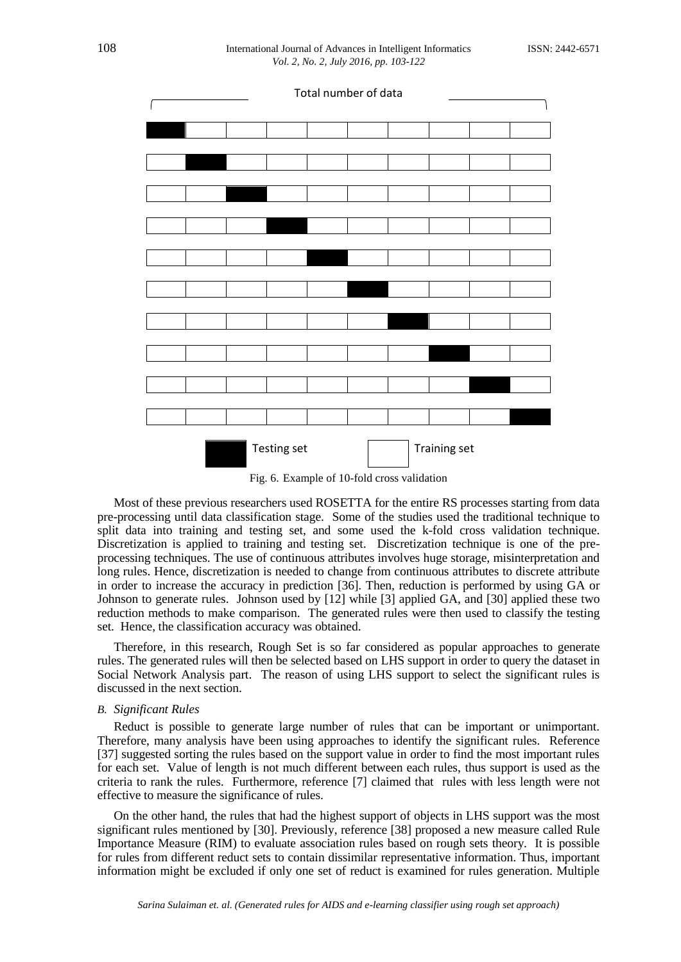

Fig. 6. Example of 10-fold cross validation

Most of these previous researchers used ROSETTA for the entire RS processes starting from data pre-processing until data classification stage. Some of the studies used the traditional technique to split data into training and testing set, and some used the k-fold cross validation technique. Discretization is applied to training and testing set. Discretization technique is one of the preprocessing techniques. The use of continuous attributes involves huge storage, misinterpretation and long rules. Hence, discretization is needed to change from continuous attributes to discrete attribute in order to increase the accuracy in prediction [36]. Then, reduction is performed by using GA or Johnson to generate rules. Johnson used by [12] while [3] applied GA, and [30] applied these two reduction methods to make comparison. The generated rules were then used to classify the testing set. Hence, the classification accuracy was obtained.

Therefore, in this research, Rough Set is so far considered as popular approaches to generate rules. The generated rules will then be selected based on LHS support in order to query the dataset in Social Network Analysis part. The reason of using LHS support to select the significant rules is discussed in the next section.

# *B. Significant Rules*

Reduct is possible to generate large number of rules that can be important or unimportant. Therefore, many analysis have been using approaches to identify the significant rules. Reference [37] suggested sorting the rules based on the support value in order to find the most important rules for each set. Value of length is not much different between each rules, thus support is used as the criteria to rank the rules. Furthermore, reference [7] claimed that rules with less length were not effective to measure the significance of rules.

On the other hand, the rules that had the highest support of objects in LHS support was the most significant rules mentioned by [30]. Previously, reference [38] proposed a new measure called Rule Importance Measure (RIM) to evaluate association rules based on rough sets theory. It is possible for rules from different reduct sets to contain dissimilar representative information. Thus, important information might be excluded if only one set of reduct is examined for rules generation. Multiple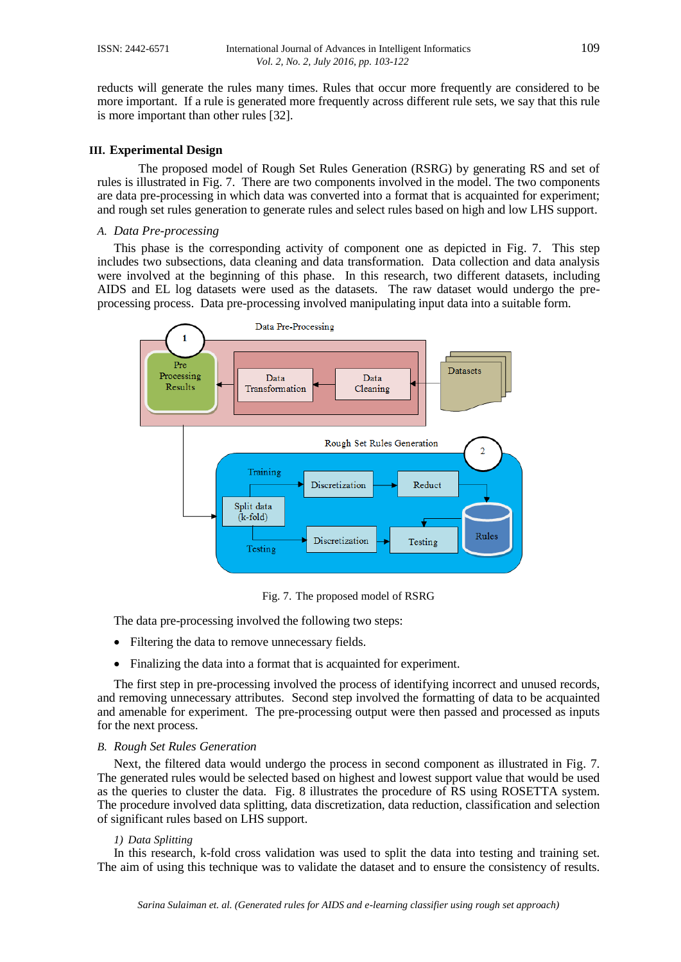reducts will generate the rules many times. Rules that occur more frequently are considered to be more important. If a rule is generated more frequently across different rule sets, we say that this rule is more important than other rules [32].

# **III. Experimental Design**

The proposed model of Rough Set Rules Generation (RSRG) by generating RS and set of rules is illustrated in Fig. 7. There are two components involved in the model. The two components are data pre-processing in which data was converted into a format that is acquainted for experiment; and rough set rules generation to generate rules and select rules based on high and low LHS support.

# *A. Data Pre-processing*

This phase is the corresponding activity of component one as depicted in Fig. 7. This step includes two subsections, data cleaning and data transformation. Data collection and data analysis were involved at the beginning of this phase. In this research, two different datasets, including AIDS and EL log datasets were used as the datasets. The raw dataset would undergo the preprocessing process. Data pre-processing involved manipulating input data into a suitable form.



Fig. 7. The proposed model of RSRG

The data pre-processing involved the following two steps:

- Filtering the data to remove unnecessary fields.
- Finalizing the data into a format that is acquainted for experiment.

The first step in pre-processing involved the process of identifying incorrect and unused records, and removing unnecessary attributes. Second step involved the formatting of data to be acquainted and amenable for experiment. The pre-processing output were then passed and processed as inputs for the next process.

### *B. Rough Set Rules Generation*

Next, the filtered data would undergo the process in second component as illustrated in Fig. 7. The generated rules would be selected based on highest and lowest support value that would be used as the queries to cluster the data. Fig. 8 illustrates the procedure of RS using ROSETTA system. The procedure involved data splitting, data discretization, data reduction, classification and selection of significant rules based on LHS support.

### *1) Data Splitting*

In this research, k-fold cross validation was used to split the data into testing and training set. The aim of using this technique was to validate the dataset and to ensure the consistency of results.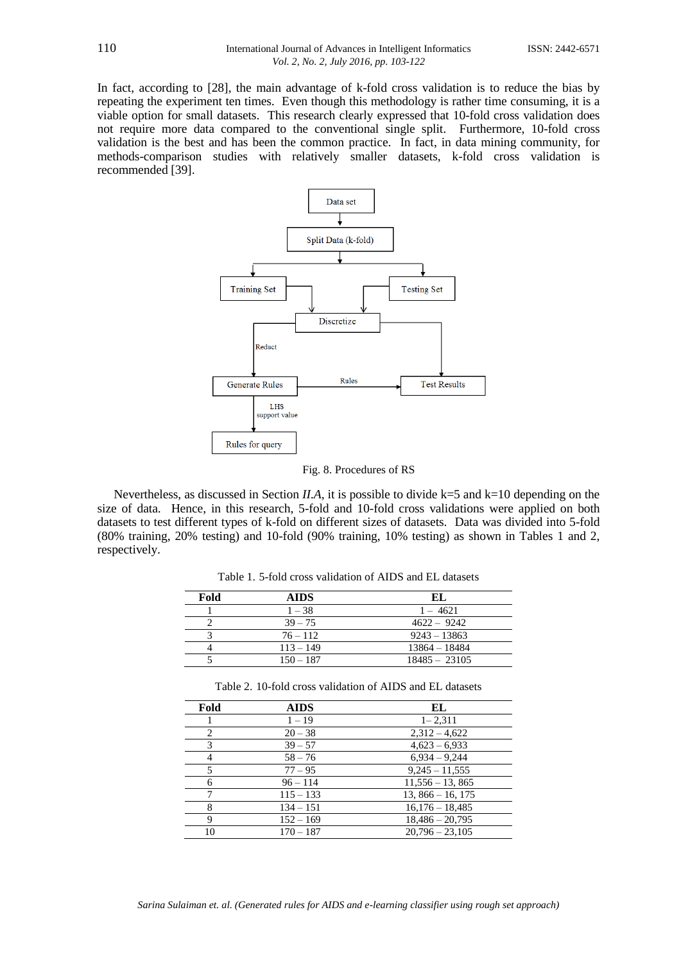In fact, according to [28], the main advantage of k-fold cross validation is to reduce the bias by repeating the experiment ten times. Even though this methodology is rather time consuming, it is a viable option for small datasets. This research clearly expressed that 10-fold cross validation does not require more data compared to the conventional single split. Furthermore, 10-fold cross validation is the best and has been the common practice. In fact, in data mining community, for methods-comparison studies with relatively smaller datasets, k-fold cross validation is recommended [39].



Fig. 8. Procedures of RS

Nevertheless, as discussed in Section *II.A*, it is possible to divide k=5 and k=10 depending on the size of data. Hence, in this research, 5-fold and 10-fold cross validations were applied on both datasets to test different types of k-fold on different sizes of datasets. Data was divided into 5-fold (80% training, 20% testing) and 10-fold (90% training, 10% testing) as shown in Tables 1 and 2, respectively.

Table 1. 5-fold cross validation of AIDS and EL datasets

| Fold | <b>AIDS</b> | EI.             |
|------|-------------|-----------------|
|      | $1 - 38$    | $1 - 4621$      |
|      | $39 - 75$   | $4622 - 9242$   |
|      | $76 - 112$  | $9243 - 13863$  |
|      | $113 - 149$ | $13864 - 18484$ |
|      | $150 - 187$ | $18485 - 23105$ |

Table 2. 10-fold cross validation of AIDS and EL datasets

| Fold | <b>AIDS</b> | EL                |
|------|-------------|-------------------|
|      | $1 - 19$    | $1 - 2,311$       |
| 2    | $20 - 38$   | $2,312 - 4,622$   |
| 3    | $39 - 57$   | $4,623 - 6,933$   |
|      | $58 - 76$   | $6.934 - 9.244$   |
|      | $77 - 95$   | $9,245 - 11,555$  |
| 6    | $96 - 114$  | $11,556 - 13,865$ |
|      | $115 - 133$ | $13,866 - 16,175$ |
| 8    | $134 - 151$ | $16,176 - 18,485$ |
| 9    | $152 - 169$ | $18,486 - 20,795$ |
| 10   | $170 - 187$ | $20.796 - 23.105$ |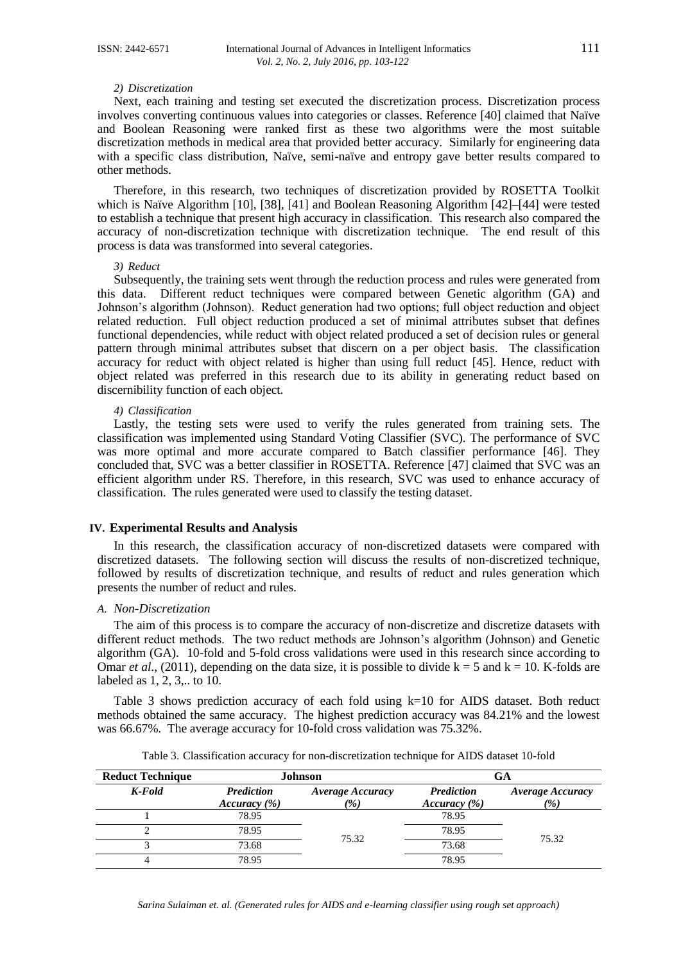#### *2) Discretization*

Next, each training and testing set executed the discretization process. Discretization process involves converting continuous values into categories or classes. Reference [40] claimed that Naïve and Boolean Reasoning were ranked first as these two algorithms were the most suitable discretization methods in medical area that provided better accuracy. Similarly for engineering data with a specific class distribution, Naïve, semi-naïve and entropy gave better results compared to other methods.

Therefore, in this research, two techniques of discretization provided by ROSETTA Toolkit which is Naïve Algorithm [10], [38], [41] and Boolean Reasoning Algorithm [42]–[44] were tested to establish a technique that present high accuracy in classification. This research also compared the accuracy of non-discretization technique with discretization technique. The end result of this process is data was transformed into several categories.

#### *3) Reduct*

Subsequently, the training sets went through the reduction process and rules were generated from this data. Different reduct techniques were compared between Genetic algorithm (GA) and Johnson's algorithm (Johnson). Reduct generation had two options; full object reduction and object related reduction. Full object reduction produced a set of minimal attributes subset that defines functional dependencies, while reduct with object related produced a set of decision rules or general pattern through minimal attributes subset that discern on a per object basis. The classification accuracy for reduct with object related is higher than using full reduct [45]. Hence, reduct with object related was preferred in this research due to its ability in generating reduct based on discernibility function of each object.

#### *4) Classification*

Lastly, the testing sets were used to verify the rules generated from training sets. The classification was implemented using Standard Voting Classifier (SVC). The performance of SVC was more optimal and more accurate compared to Batch classifier performance [46]. They concluded that, SVC was a better classifier in ROSETTA. Reference [47] claimed that SVC was an efficient algorithm under RS. Therefore, in this research, SVC was used to enhance accuracy of classification. The rules generated were used to classify the testing dataset.

#### **IV. Experimental Results and Analysis**

In this research, the classification accuracy of non-discretized datasets were compared with discretized datasets. The following section will discuss the results of non-discretized technique, followed by results of discretization technique, and results of reduct and rules generation which presents the number of reduct and rules.

#### *A. Non-Discretization*

The aim of this process is to compare the accuracy of non-discretize and discretize datasets with different reduct methods. The two reduct methods are Johnson's algorithm (Johnson) and Genetic algorithm (GA). 10-fold and 5-fold cross validations were used in this research since according to Omar *et al.*, (2011), depending on the data size, it is possible to divide  $k = 5$  and  $k = 10$ . K-folds are labeled as 1, 2, 3,.. to 10.

Table 3 shows prediction accuracy of each fold using k=10 for AIDS dataset. Both reduct methods obtained the same accuracy. The highest prediction accuracy was 84.21% and the lowest was 66.67%. The average accuracy for 10-fold cross validation was 75.32%.

| <b>Reduct Technique</b> | <b>Johnson</b>                        |                 |                   | GA                      |
|-------------------------|---------------------------------------|-----------------|-------------------|-------------------------|
| K-Fold                  | <b>Prediction</b><br>Average Accuracy |                 | <b>Prediction</b> | <b>Average Accuracy</b> |
|                         | Accuracy (%)                          | $\mathscr{C}_0$ | Accuracy (%)      | $\frac{1}{2}$           |
|                         | 78.95                                 |                 | 78.95             |                         |
|                         | 78.95                                 |                 | 78.95             |                         |
|                         | 73.68                                 | 75.32           | 73.68             | 75.32                   |
|                         | 78.95                                 |                 | 78.95             |                         |

Table 3. Classification accuracy for non-discretization technique for AIDS dataset 10-fold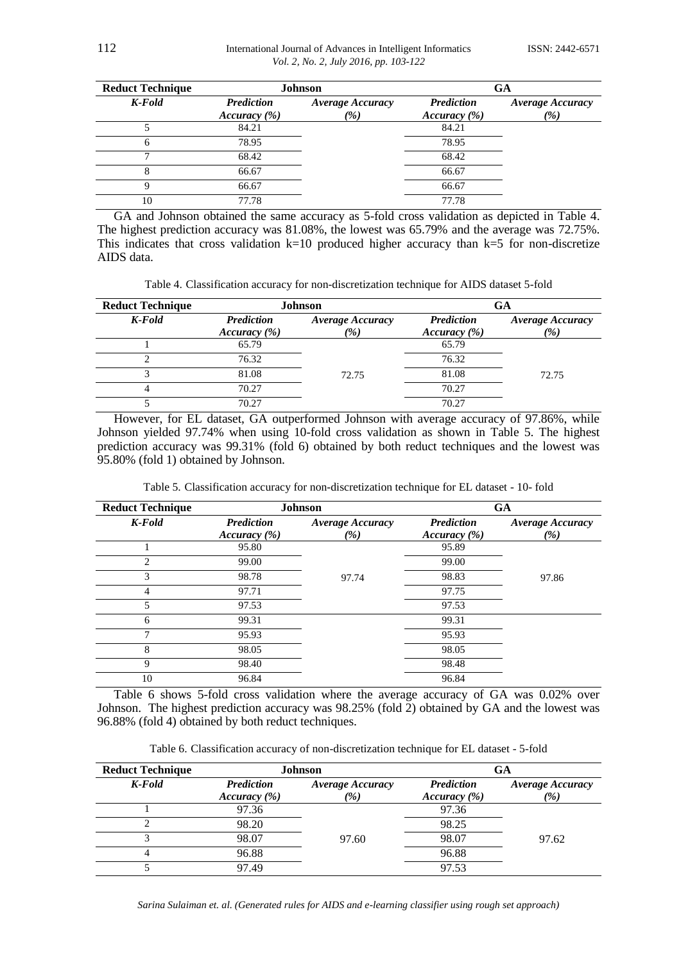| <b>Reduct Technique</b> | <b>Johnson</b>    |                  | GA                |                  |
|-------------------------|-------------------|------------------|-------------------|------------------|
| K-Fold                  | <b>Prediction</b> | Average Accuracy | <b>Prediction</b> | Average Accuracy |
|                         | Accuracy (%)      | $\frac{9}{6}$    | Accuracy (%)      | $\frac{1}{2}$    |
|                         | 84.21             |                  | 84.21             |                  |
| 6                       | 78.95             |                  | 78.95             |                  |
|                         | 68.42             |                  | 68.42             |                  |
| 8                       | 66.67             |                  | 66.67             |                  |
| Q                       | 66.67             |                  | 66.67             |                  |
| 10                      | 77.78             |                  | 77.78             |                  |

GA and Johnson obtained the same accuracy as 5-fold cross validation as depicted in Table 4. The highest prediction accuracy was 81.08%, the lowest was 65.79% and the average was 72.75%. This indicates that cross validation  $k=10$  produced higher accuracy than  $k=5$  for non-discretize AIDS data.

Table 4. Classification accuracy for non-discretization technique for AIDS dataset 5-fold

| <b>Reduct Technique</b> | <b>Johnson</b>                                                                   |       |                                   | GA                                       |
|-------------------------|----------------------------------------------------------------------------------|-------|-----------------------------------|------------------------------------------|
| K-Fold                  | <b>Prediction</b><br>Average Accuracy<br>$\frac{\gamma}{\gamma}$<br>Accuracy (%) |       | <b>Prediction</b><br>Accuracy (%) | <b>Average Accuracy</b><br>$\frac{9}{6}$ |
|                         |                                                                                  |       |                                   |                                          |
|                         | 65.79                                                                            |       | 65.79                             |                                          |
|                         | 76.32                                                                            |       | 76.32                             |                                          |
|                         | 81.08                                                                            | 72.75 | 81.08                             | 72.75                                    |
| 4                       | 70.27                                                                            |       | 70.27                             |                                          |
|                         | 70.27                                                                            |       | 70.27                             |                                          |

However, for EL dataset, GA outperformed Johnson with average accuracy of 97.86%, while Johnson yielded 97.74% when using 10-fold cross validation as shown in Table 5. The highest prediction accuracy was 99.31% (fold 6) obtained by both reduct techniques and the lowest was 95.80% (fold 1) obtained by Johnson.

| <b>Reduct Technique</b> | <b>Johnson</b>                    |                                |                                   | <b>GA</b>                      |
|-------------------------|-----------------------------------|--------------------------------|-----------------------------------|--------------------------------|
| K-Fold                  | <b>Prediction</b><br>Accuracy (%) | <b>Average Accuracy</b><br>(%) | <b>Prediction</b><br>Accuracy (%) | <b>Average Accuracy</b><br>(%) |
|                         | 95.80                             |                                | 95.89                             |                                |
| $\overline{c}$          | 99.00                             |                                | 99.00                             |                                |
| 3                       | 98.78                             | 97.74                          | 98.83                             | 97.86                          |
| 4                       | 97.71                             |                                | 97.75                             |                                |
| $\overline{5}$          | 97.53                             |                                | 97.53                             |                                |
| 6                       | 99.31                             |                                | 99.31                             |                                |
| 7                       | 95.93                             |                                | 95.93                             |                                |
| 8                       | 98.05                             |                                | 98.05                             |                                |
| 9                       | 98.40                             |                                | 98.48                             |                                |
| 10                      | 96.84                             |                                | 96.84                             |                                |

Table 5. Classification accuracy for non-discretization technique for EL dataset - 10- fold

Table 6 shows 5-fold cross validation where the average accuracy of GA was 0.02% over Johnson. The highest prediction accuracy was 98.25% (fold 2) obtained by GA and the lowest was 96.88% (fold 4) obtained by both reduct techniques.

Table 6. Classification accuracy of non-discretization technique for EL dataset - 5-fold

| <b>Reduct Technique</b> | <b>Johnson</b>    |                         | GA                |                         |
|-------------------------|-------------------|-------------------------|-------------------|-------------------------|
| K-Fold                  | <b>Prediction</b> | <b>Average Accuracy</b> | <b>Prediction</b> | <b>Average Accuracy</b> |
|                         | Accuracy (%)      | $\frac{1}{2}$           | Accuracy (%)      | $\frac{1}{2}$           |
|                         | 97.36             |                         | 97.36             |                         |
|                         | 98.20             |                         | 98.25             |                         |
|                         | 98.07             | 97.60                   | 98.07             | 97.62                   |
|                         | 96.88             |                         | 96.88             |                         |
|                         | 97.49             |                         | 97.53             |                         |

*Sarina Sulaiman et. al. (Generated rules for AIDS and e-learning classifier using rough set approach)*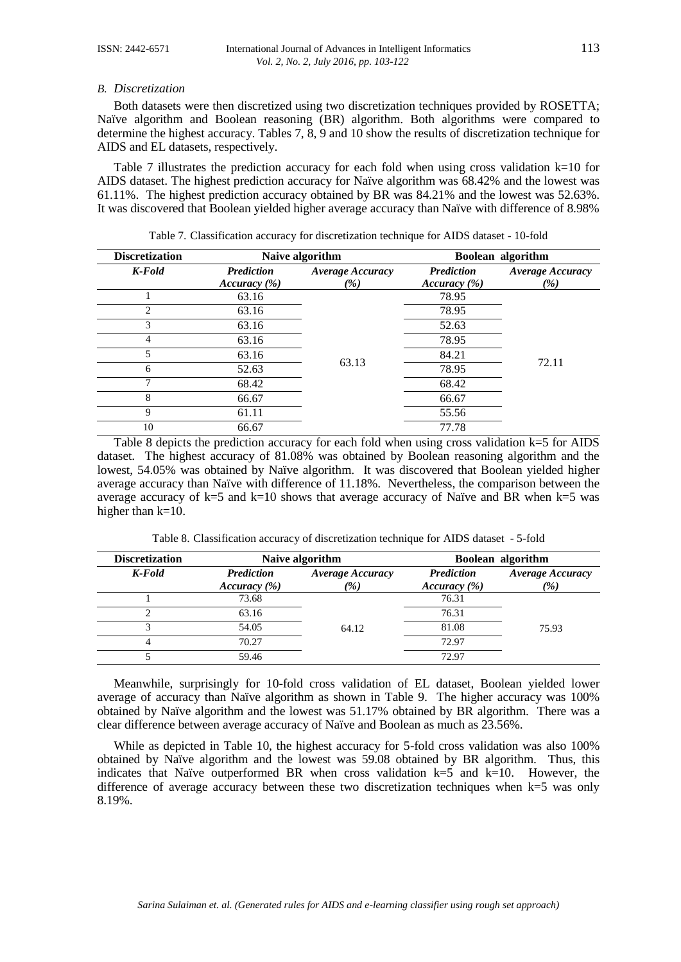#### *B. Discretization*

Both datasets were then discretized using two discretization techniques provided by ROSETTA; Naïve algorithm and Boolean reasoning (BR) algorithm. Both algorithms were compared to determine the highest accuracy. Tables 7, 8, 9 and 10 show the results of discretization technique for AIDS and EL datasets, respectively.

Table 7 illustrates the prediction accuracy for each fold when using cross validation  $k=10$  for AIDS dataset. The highest prediction accuracy for Naïve algorithm was 68.42% and the lowest was 61.11%. The highest prediction accuracy obtained by BR was 84.21% and the lowest was 52.63%. It was discovered that Boolean yielded higher average accuracy than Naïve with difference of 8.98%

| <b>Discretization</b>       | Naive algorithm                   |                                |                                   | Boolean algorithm              |
|-----------------------------|-----------------------------------|--------------------------------|-----------------------------------|--------------------------------|
| K-Fold                      | <b>Prediction</b><br>Accuracy (%) | <b>Average Accuracy</b><br>(%) | <b>Prediction</b><br>Accuracy (%) | <b>Average Accuracy</b><br>(%) |
|                             | 63.16                             |                                | 78.95                             |                                |
| $\mathcal{D}_{\mathcal{L}}$ | 63.16                             |                                | 78.95                             |                                |
| 3                           | 63.16                             |                                | 52.63                             |                                |
| 4                           | 63.16                             |                                | 78.95                             |                                |
| 5                           | 63.16                             |                                | 84.21                             |                                |
| 6                           | 52.63                             | 63.13                          | 78.95                             | 72.11                          |
|                             | 68.42                             |                                | 68.42                             |                                |
| 8                           | 66.67                             |                                | 66.67                             |                                |
| 9                           | 61.11                             |                                | 55.56                             |                                |
| 10                          | 66.67                             |                                | 77.78                             |                                |

Table 7. Classification accuracy for discretization technique for AIDS dataset - 10-fold

Table 8 depicts the prediction accuracy for each fold when using cross validation k=5 for AIDS dataset. The highest accuracy of 81.08% was obtained by Boolean reasoning algorithm and the lowest, 54.05% was obtained by Naïve algorithm. It was discovered that Boolean yielded higher average accuracy than Naïve with difference of 11.18%. Nevertheless, the comparison between the average accuracy of k=5 and k=10 shows that average accuracy of Naïve and BR when k=5 was higher than  $k=10$ .

Table 8. Classification accuracy of discretization technique for AIDS dataset - 5-fold

| <b>Discretization</b> | Naive algorithm                                                          |       |                                   | Boolean algorithm                        |
|-----------------------|--------------------------------------------------------------------------|-------|-----------------------------------|------------------------------------------|
| K-Fold                | <b>Prediction</b><br>Average Accuracy<br>$\frac{\%}{\%}$<br>Accuracy (%) |       | <b>Prediction</b><br>Accuracy (%) | <b>Average Accuracy</b><br>$\frac{1}{2}$ |
|                       | 73.68                                                                    |       | 76.31                             |                                          |
|                       | 63.16                                                                    |       | 76.31                             |                                          |
|                       | 54.05                                                                    | 64.12 | 81.08                             | 75.93                                    |
|                       | 70.27                                                                    |       | 72.97                             |                                          |
|                       | 59.46                                                                    |       | 72.97                             |                                          |

Meanwhile, surprisingly for 10-fold cross validation of EL dataset, Boolean yielded lower average of accuracy than Naïve algorithm as shown in Table 9. The higher accuracy was 100% obtained by Naïve algorithm and the lowest was 51.17% obtained by BR algorithm. There was a clear difference between average accuracy of Naïve and Boolean as much as 23.56%.

While as depicted in Table 10, the highest accuracy for 5-fold cross validation was also 100% obtained by Naïve algorithm and the lowest was 59.08 obtained by BR algorithm. Thus, this indicates that Naïve outperformed BR when cross validation  $k=5$  and  $k=10$ . However, the difference of average accuracy between these two discretization techniques when k=5 was only 8.19%.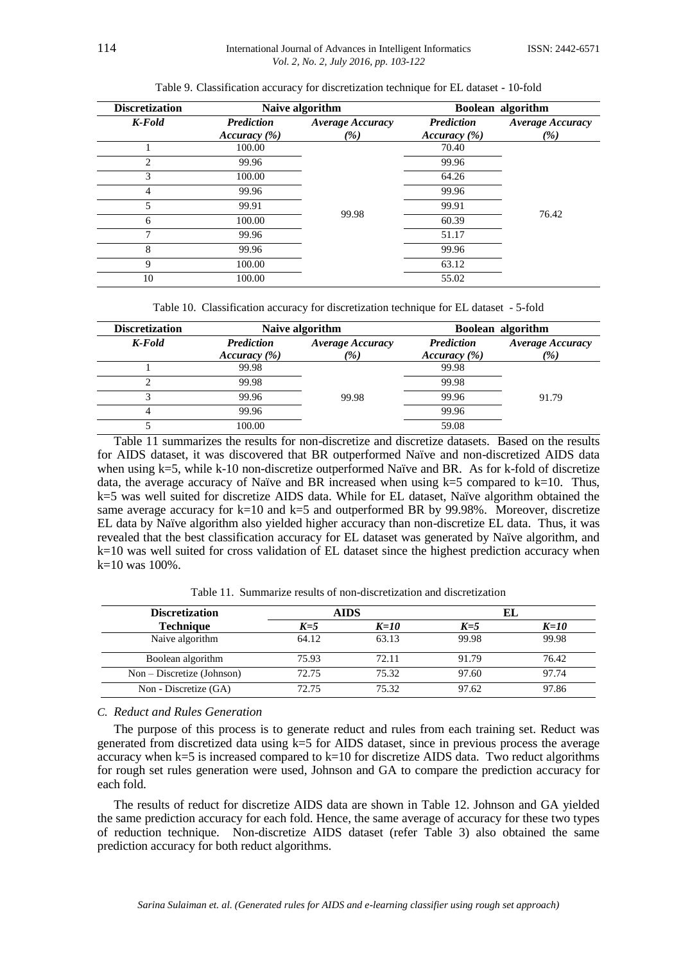| <b>Discretization</b> | Naive algorithm                   |                                            |                                   | Boolean algorithm              |
|-----------------------|-----------------------------------|--------------------------------------------|-----------------------------------|--------------------------------|
| K-Fold                | <b>Prediction</b><br>Accuracy (%) | <b>Average Accuracy</b><br>$\frac{\%}{\%}$ | <b>Prediction</b><br>Accuracy (%) | <b>Average Accuracy</b><br>(%) |
|                       | 100.00                            |                                            | 70.40                             |                                |
| 2                     | 99.96                             | 99.98                                      | 99.96                             |                                |
| 3                     | 100.00                            |                                            | 64.26                             |                                |
| 4                     | 99.96                             |                                            | 99.96                             |                                |
| 5                     | 99.91                             |                                            | 99.91                             |                                |
| 6                     | 100.00                            |                                            | 60.39                             | 76.42                          |
| ⇁                     | 99.96                             |                                            | 51.17                             |                                |
| 8                     | 99.96                             |                                            | 99.96                             |                                |
| 9                     | 100.00                            |                                            | 63.12                             |                                |
| 10                    | 100.00                            |                                            | 55.02                             |                                |

Table 9. Classification accuracy for discretization technique for EL dataset - 10-fold

Table 10. Classification accuracy for discretization technique for EL dataset - 5-fold

| <b>Discretization</b> | Naive algorithm                   |                                                    | Boolean algorithm |                                          |
|-----------------------|-----------------------------------|----------------------------------------------------|-------------------|------------------------------------------|
| K-Fold                | <b>Prediction</b><br>Accuracy (%) | <b>Average Accuracy</b><br>$\frac{\gamma}{\gamma}$ |                   | <b>Average Accuracy</b><br>$\frac{1}{2}$ |
|                       | 99.98                             |                                                    | 99.98             |                                          |
|                       | 99.98                             |                                                    | 99.98             |                                          |
|                       | 99.96                             | 99.98                                              | 99.96             | 91.79                                    |
|                       | 99.96                             |                                                    | 99.96             |                                          |
|                       | 100.00                            |                                                    | 59.08             |                                          |

Table 11 summarizes the results for non-discretize and discretize datasets. Based on the results for AIDS dataset, it was discovered that BR outperformed Naïve and non-discretized AIDS data when using k=5, while k-10 non-discretize outperformed Naïve and BR. As for k-fold of discretize data, the average accuracy of Naïve and BR increased when using  $k=5$  compared to  $k=10$ . Thus, k=5 was well suited for discretize AIDS data. While for EL dataset, Naïve algorithm obtained the same average accuracy for  $k=10$  and  $k=5$  and outperformed BR by 99.98%. Moreover, discretize EL data by Naïve algorithm also yielded higher accuracy than non-discretize EL data. Thus, it was revealed that the best classification accuracy for EL dataset was generated by Naïve algorithm, and k=10 was well suited for cross validation of EL dataset since the highest prediction accuracy when  $k=10$  was 100%.

| <b>Discretization</b>      | <b>AIDS</b> |        | EL      |        |
|----------------------------|-------------|--------|---------|--------|
| <b>Technique</b>           | $K=5$       | $K=10$ | $K = 5$ | $K=10$ |
| Naive algorithm            | 64.12       | 63.13  | 99.98   | 99.98  |
| Boolean algorithm          | 75.93       | 72.11  | 91.79   | 76.42  |
| $Non-Discretize (Johnson)$ | 72.75       | 75.32  | 97.60   | 97.74  |
| Non - Discretize (GA)      | 72.75       | 75.32  | 97.62   | 97.86  |

Table 11. Summarize results of non-discretization and discretization

# *C. Reduct and Rules Generation*

The purpose of this process is to generate reduct and rules from each training set. Reduct was generated from discretized data using  $k=5$  for AIDS dataset, since in previous process the average accuracy when  $k=5$  is increased compared to  $k=10$  for discretize AIDS data. Two reduct algorithms for rough set rules generation were used, Johnson and GA to compare the prediction accuracy for each fold.

The results of reduct for discretize AIDS data are shown in Table 12. Johnson and GA yielded the same prediction accuracy for each fold. Hence, the same average of accuracy for these two types of reduction technique. Non-discretize AIDS dataset (refer Table 3) also obtained the same prediction accuracy for both reduct algorithms.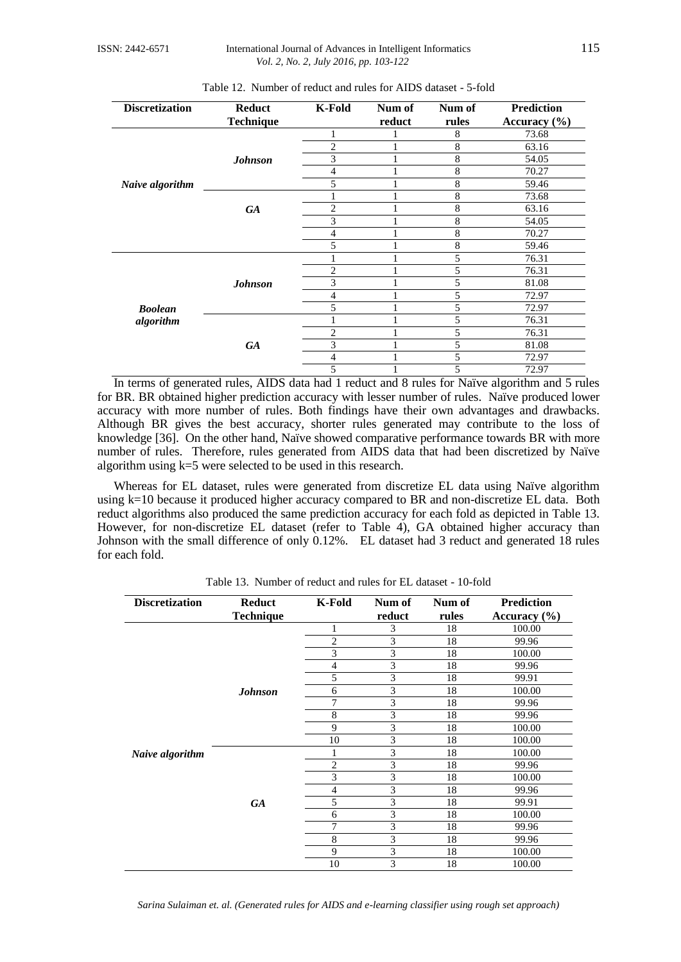| <b>Discretization</b> | <b>Reduct</b>    | <b>K-Fold</b>  | Num of | Num of | <b>Prediction</b> |
|-----------------------|------------------|----------------|--------|--------|-------------------|
|                       | <b>Technique</b> |                | reduct | rules  | Accuracy $(\% )$  |
|                       |                  |                |        | 8      | 73.68             |
|                       |                  | 2              |        | 8      | 63.16             |
|                       | <b>Johnson</b>   | 3              |        | 8      | 54.05             |
|                       |                  | 4              |        | 8      | 70.27             |
| Naive algorithm       |                  | 5              |        | 8      | 59.46             |
|                       |                  |                |        | 8      | 73.68             |
|                       | <b>GA</b>        | $\overline{2}$ |        | 8      | 63.16             |
|                       |                  | 3              |        | 8      | 54.05             |
|                       |                  | 4              |        | 8      | 70.27             |
|                       |                  | 5              |        | 8      | 59.46             |
|                       |                  |                |        | 5      | 76.31             |
|                       |                  | $\overline{2}$ |        | 5      | 76.31             |
|                       | <b>Johnson</b>   | 3              |        | 5      | 81.08             |
|                       |                  | 4              |        | 5      | 72.97             |
| <b>Boolean</b>        |                  | 5              |        | 5      | 72.97             |
| algorithm             |                  |                |        | 5      | 76.31             |
|                       |                  | 2              |        | 5      | 76.31             |
|                       | <b>GA</b>        | 3              |        | 5      | 81.08             |
|                       |                  | 4              |        | 5      | 72.97             |
|                       |                  | 5              |        | 5      | 72.97             |

| Table 12. Number of reduct and rules for AIDS dataset - 5-fold |
|----------------------------------------------------------------|
|----------------------------------------------------------------|

In terms of generated rules, AIDS data had 1 reduct and 8 rules for Naïve algorithm and 5 rules for BR. BR obtained higher prediction accuracy with lesser number of rules. Naïve produced lower accuracy with more number of rules. Both findings have their own advantages and drawbacks. Although BR gives the best accuracy, shorter rules generated may contribute to the loss of knowledge [36]. On the other hand, Naïve showed comparative performance towards BR with more number of rules. Therefore, rules generated from AIDS data that had been discretized by Naïve algorithm using k=5 were selected to be used in this research.

Whereas for EL dataset, rules were generated from discretize EL data using Naïve algorithm using k=10 because it produced higher accuracy compared to BR and non-discretize EL data. Both reduct algorithms also produced the same prediction accuracy for each fold as depicted in Table 13. However, for non-discretize EL dataset (refer to Table 4), GA obtained higher accuracy than Johnson with the small difference of only 0.12%. EL dataset had 3 reduct and generated 18 rules for each fold.

| <b>Discretization</b> | <b>Reduct</b>    | <b>K-Fold</b>  | Num of | Num of | <b>Prediction</b> |
|-----------------------|------------------|----------------|--------|--------|-------------------|
|                       | <b>Technique</b> |                | reduct | rules  | Accuracy $(\% )$  |
|                       |                  | 1              | 3      | 18     | 100.00            |
|                       |                  | $\overline{2}$ | 3      | 18     | 99.96             |
|                       |                  | 3              | 3      | 18     | 100.00            |
|                       |                  | 4              | 3      | 18     | 99.96             |
|                       |                  | 5              | 3      | 18     | 99.91             |
|                       | <b>Johnson</b>   | 6              | 3      | 18     | 100.00            |
|                       |                  | 7              | 3      | 18     | 99.96             |
|                       |                  | 8              | 3      | 18     | 99.96             |
|                       |                  | 9              | 3      | 18     | 100.00            |
|                       |                  | 10             | 3      | 18     | 100.00            |
| Naive algorithm       |                  | 1              | 3      | 18     | 100.00            |
|                       |                  | $\overline{2}$ | 3      | 18     | 99.96             |
|                       |                  | 3              | 3      | 18     | 100.00            |
|                       |                  | $\overline{4}$ | 3      | 18     | 99.96             |
|                       | <b>GA</b>        | 5              | 3      | 18     | 99.91             |
|                       |                  | 6              | 3      | 18     | 100.00            |
|                       |                  | 7              | 3      | 18     | 99.96             |
|                       |                  | 8              | 3      | 18     | 99.96             |
|                       |                  | 9              | 3      | 18     | 100.00            |
|                       |                  | 10             | 3      | 18     | 100.00            |

Table 13. Number of reduct and rules for EL dataset - 10-fold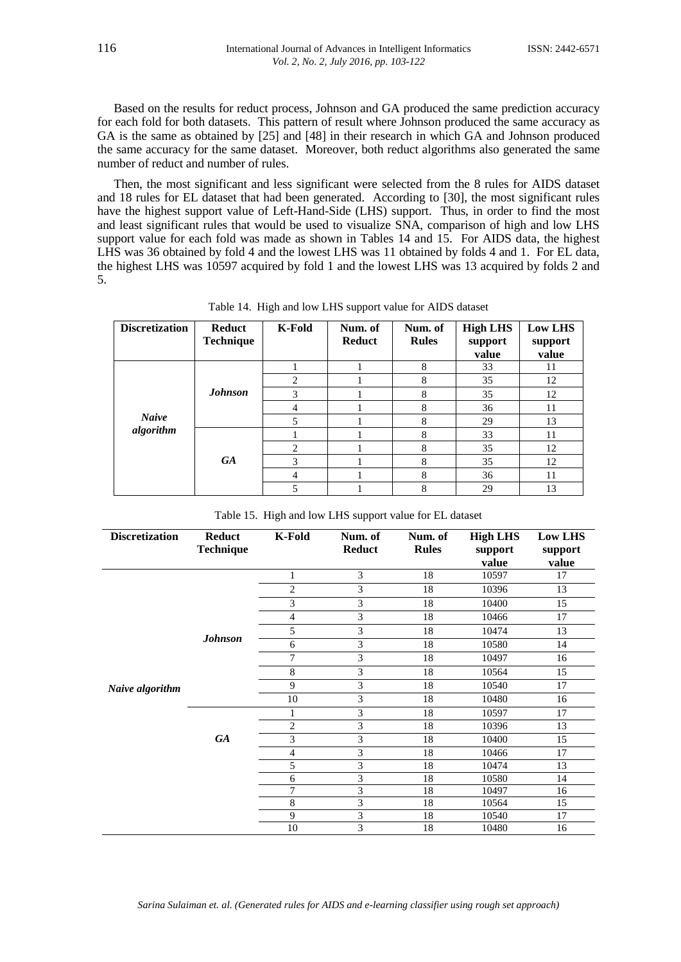Based on the results for reduct process, Johnson and GA produced the same prediction accuracy for each fold for both datasets. This pattern of result where Johnson produced the same accuracy as GA is the same as obtained by [25] and [48] in their research in which GA and Johnson produced the same accuracy for the same dataset. Moreover, both reduct algorithms also generated the same number of reduct and number of rules.

Then, the most significant and less significant were selected from the 8 rules for AIDS dataset and 18 rules for EL dataset that had been generated. According to [30], the most significant rules have the highest support value of Left-Hand-Side (LHS) support. Thus, in order to find the most and least significant rules that would be used to visualize SNA, comparison of high and low LHS support value for each fold was made as shown in Tables 14 and 15. For AIDS data, the highest LHS was 36 obtained by fold 4 and the lowest LHS was 11 obtained by folds 4 and 1. For EL data, the highest LHS was 10597 acquired by fold 1 and the lowest LHS was 13 acquired by folds 2 and 5.

| <b>Discretization</b>     | <b>Reduct</b><br><b>Technique</b> | <b>K-Fold</b>  | Num. of<br><b>Reduct</b> | Num. of<br><b>Rules</b> | <b>High LHS</b><br>support<br>value | <b>Low LHS</b><br>support<br>value |
|---------------------------|-----------------------------------|----------------|--------------------------|-------------------------|-------------------------------------|------------------------------------|
|                           |                                   |                |                          | 8                       | 33                                  | 11                                 |
| <b>Naive</b><br>algorithm |                                   | $\overline{c}$ |                          | 8                       | 35                                  | 12                                 |
|                           | <b>Johnson</b>                    | 3              |                          | 8                       | 35                                  | 12                                 |
|                           |                                   | 4              |                          | 8                       | 36                                  | 11                                 |
|                           |                                   | 5              |                          | 8                       | 29                                  | 13                                 |
|                           | <b>GA</b>                         |                |                          | 8                       | 33                                  | 11                                 |
|                           |                                   | 2              |                          | 8                       | 35                                  | 12                                 |
|                           |                                   | 3              |                          | 8                       | 35                                  | 12                                 |
|                           |                                   | 4              |                          | 8                       | 36                                  | 11                                 |
|                           |                                   | 5              |                          | 8                       | 29                                  | 13                                 |

Table 14. High and low LHS support value for AIDS dataset

|  |  |  | Table 15. High and low LHS support value for EL dataset |  |
|--|--|--|---------------------------------------------------------|--|
|--|--|--|---------------------------------------------------------|--|

| <b>Discretization</b> | <b>Reduct</b>    | K-Fold         | Num. of       | Num. of      | <b>High LHS</b> | <b>Low LHS</b> |
|-----------------------|------------------|----------------|---------------|--------------|-----------------|----------------|
|                       | <b>Technique</b> |                | <b>Reduct</b> | <b>Rules</b> | support         | support        |
|                       |                  |                |               |              | value           | value          |
|                       |                  | 1              | 3             | 18           | 10597           | 17             |
|                       |                  | $\overline{c}$ | 3             | 18           | 10396           | 13             |
|                       |                  | 3              | 3             | 18           | 10400           | 15             |
|                       |                  | $\overline{4}$ | 3             | 18           | 10466           | 17             |
|                       |                  | 5              | 3             | 18           | 10474           | 13             |
|                       | <b>Johnson</b>   | 6              | 3             | 18           | 10580           | 14             |
|                       |                  | 7              | 3             | 18           | 10497           | 16             |
|                       |                  | 8              | 3             | 18           | 10564           | 15             |
| Naive algorithm       |                  | 9              | 3             | 18           | 10540           | 17             |
|                       |                  | 10             | 3             | 18           | 10480           | 16             |
|                       | <b>GA</b>        | 1              | 3             | 18           | 10597           | 17             |
|                       |                  | $\mathfrak{2}$ | 3             | 18           | 10396           | 13             |
|                       |                  | 3              | 3             | 18           | 10400           | 15             |
|                       |                  | $\overline{4}$ | 3             | 18           | 10466           | 17             |
|                       |                  | 5              | 3             | 18           | 10474           | 13             |
|                       |                  | 6              | 3             | 18           | 10580           | 14             |
|                       |                  | 7              | 3             | 18           | 10497           | 16             |
|                       |                  | 8              | 3             | 18           | 10564           | 15             |
|                       |                  | 9              | 3             | 18           | 10540           | 17             |
|                       |                  | 10             | 3             | 18           | 10480           | 16             |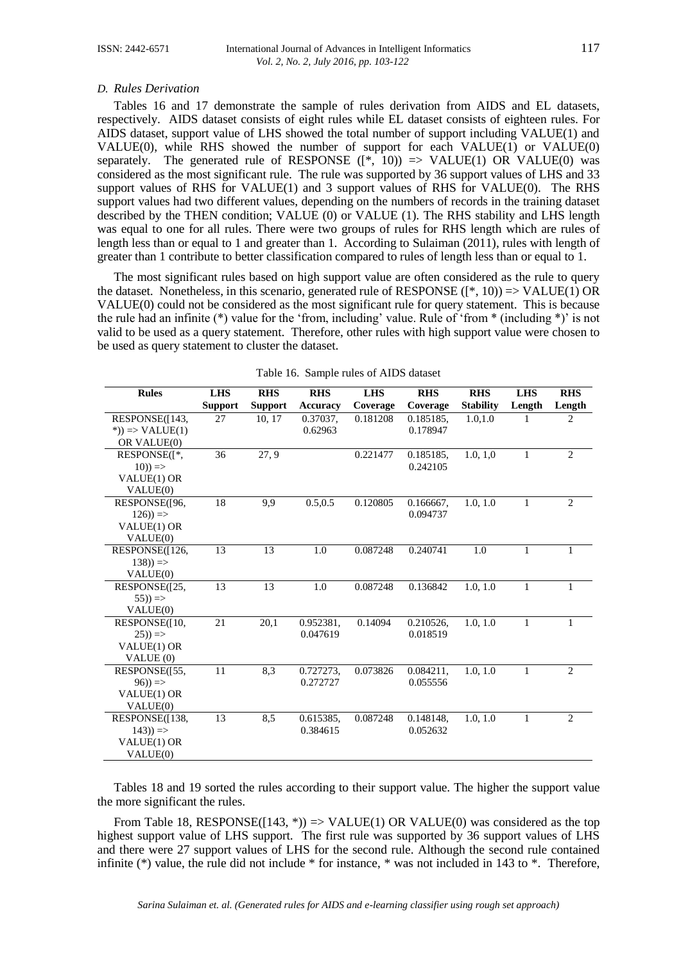### *D. Rules Derivation*

Tables 16 and 17 demonstrate the sample of rules derivation from AIDS and EL datasets, respectively. AIDS dataset consists of eight rules while EL dataset consists of eighteen rules. For AIDS dataset, support value of LHS showed the total number of support including VALUE(1) and VALUE(0), while RHS showed the number of support for each VALUE(1) or VALUE(0) separately. The generated rule of RESPONSE  $([*, 10)) \Rightarrow$  VALUE(1) OR VALUE(0) was considered as the most significant rule. The rule was supported by 36 support values of LHS and 33 support values of RHS for VALUE(1) and 3 support values of RHS for VALUE(0). The RHS support values had two different values, depending on the numbers of records in the training dataset described by the THEN condition; VALUE (0) or VALUE (1). The RHS stability and LHS length was equal to one for all rules. There were two groups of rules for RHS length which are rules of length less than or equal to 1 and greater than 1. According to Sulaiman (2011), rules with length of greater than 1 contribute to better classification compared to rules of length less than or equal to 1.

The most significant rules based on high support value are often considered as the rule to query the dataset. Nonetheless, in this scenario, generated rule of RESPONSE  $(f^*, 10)$  => VALUE(1) OR VALUE(0) could not be considered as the most significant rule for query statement. This is because the rule had an infinite (\*) value for the 'from, including' value. Rule of 'from \* (including \*)' is not valid to be used as a query statement. Therefore, other rules with high support value were chosen to be used as query statement to cluster the dataset.

| <b>Rules</b>         | <b>LHS</b>     | <b>RHS</b>     | <b>RHS</b>      | <b>LHS</b> | <b>RHS</b> | <b>RHS</b>       | <b>LHS</b>   | <b>RHS</b>     |
|----------------------|----------------|----------------|-----------------|------------|------------|------------------|--------------|----------------|
|                      | <b>Support</b> | <b>Support</b> | <b>Accuracy</b> | Coverage   | Coverage   | <b>Stability</b> | Length       | Length         |
| RESPONSE([143,       | 27             | 10, 17         | 0.37037,        | 0.181208   | 0.185185,  | 1.0, 1.0         | 1            | $\overline{c}$ |
| $\ast$ ) => VALUE(1) |                |                | 0.62963         |            | 0.178947   |                  |              |                |
| OR VALUE(0)          |                |                |                 |            |            |                  |              |                |
| RESPONSE([*,         | 36             | 27, 9          |                 | 0.221477   | 0.185185,  | 1.0, 1.0         | $\mathbf{1}$ | $\overline{2}$ |
| $(10)) \Rightarrow$  |                |                |                 |            | 0.242105   |                  |              |                |
| VALUE(1) OR          |                |                |                 |            |            |                  |              |                |
| VALUE(0)             |                |                |                 |            |            |                  |              |                |
| RESPONSE(196,        | 18             | 9.9            | 0.5, 0.5        | 0.120805   | 0.166667,  | 1.0, 1.0         | 1            | $\overline{2}$ |
| $126)$ =>            |                |                |                 |            | 0.094737   |                  |              |                |
| VALUE(1) OR          |                |                |                 |            |            |                  |              |                |
| VALUE(0)             |                |                |                 |            |            |                  |              |                |
| RESPONSE([126,       | 13             | 13             | 1.0             | 0.087248   | 0.240741   | 1.0              | 1            | $\mathbf{1}$   |
| $138)$ ) =>          |                |                |                 |            |            |                  |              |                |
| VALUE(0)             |                |                |                 |            |            |                  |              |                |
| RESPONSE([25,        | 13             | 13             | 1.0             | 0.087248   | 0.136842   | 1.0, 1.0         | $\mathbf{1}$ | $\mathbf{1}$   |
| $(55)) \Rightarrow$  |                |                |                 |            |            |                  |              |                |
| VALUE(0)             |                |                |                 |            |            |                  |              |                |
| RESPONSE([10,        | 21             | 20,1           | 0.952381,       | 0.14094    | 0.210526,  | 1.0, 1.0         | 1            | $\mathbf{1}$   |
| $(25)) \Rightarrow$  |                |                | 0.047619        |            | 0.018519   |                  |              |                |
| VALUE(1) OR          |                |                |                 |            |            |                  |              |                |
| VALUE (0)            |                |                |                 |            |            |                  |              |                |
| RESPONSE(155,        | 11             | 8,3            | 0.727273,       | 0.073826   | 0.084211,  | 1.0, 1.0         | $\mathbf{1}$ | $\overline{2}$ |
| $(96)) \Rightarrow$  |                |                | 0.272727        |            | 0.055556   |                  |              |                |
| VALUE(1) OR          |                |                |                 |            |            |                  |              |                |
| VALUE(0)             |                |                |                 |            |            |                  |              |                |
| RESPONSE([138,       | 13             | 8,5            | 0.615385,       | 0.087248   | 0.148148.  | 1.0, 1.0         | $\mathbf{1}$ | $\overline{2}$ |
| $143)$ =>            |                |                | 0.384615        |            | 0.052632   |                  |              |                |
| VALUE(1) OR          |                |                |                 |            |            |                  |              |                |
| VALUE(0)             |                |                |                 |            |            |                  |              |                |

Table 16. Sample rules of AIDS dataset

Tables 18 and 19 sorted the rules according to their support value. The higher the support value the more significant the rules.

From Table 18, RESPONSE([143,  $*)$ ) => VALUE(1) OR VALUE(0) was considered as the top highest support value of LHS support. The first rule was supported by 36 support values of LHS and there were 27 support values of LHS for the second rule. Although the second rule contained infinite (\*) value, the rule did not include \* for instance, \* was not included in 143 to \*. Therefore,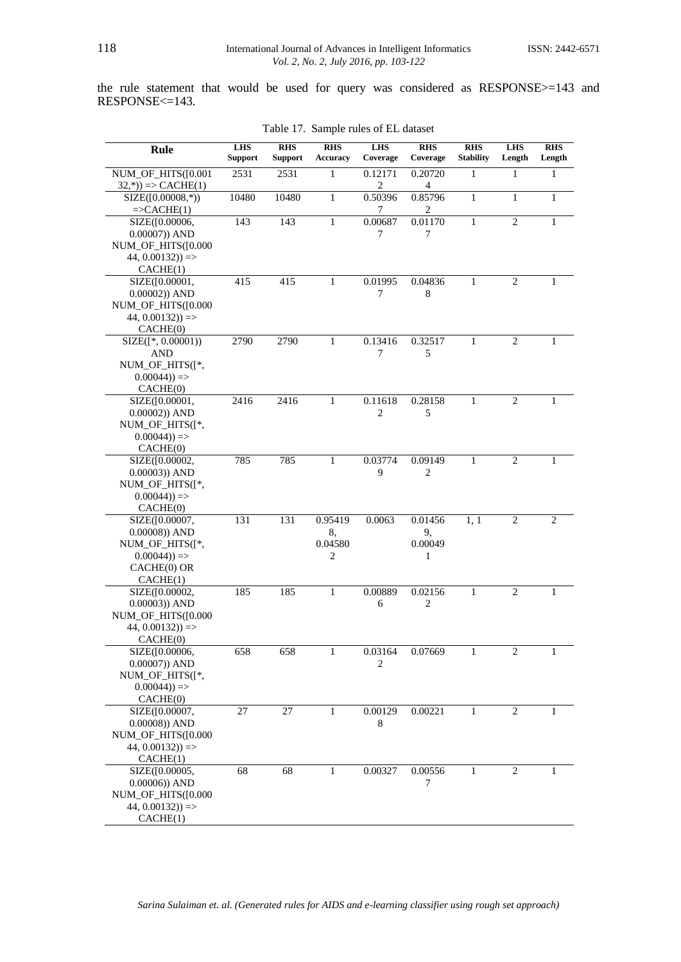the rule statement that would be used for query was considered as RESPONSE>=143 and RESPONSE<=143.

| Rule                                                                                             | <b>LHS</b><br><b>Support</b> | <b>RHS</b><br><b>Support</b> | <b>RHS</b><br><b>Accuracy</b> | <b>LHS</b><br>Coverage    | <b>RHS</b><br>Coverage        | <b>RHS</b><br><b>Stability</b> | <b>LHS</b><br>Length | <b>RHS</b><br>Length |
|--------------------------------------------------------------------------------------------------|------------------------------|------------------------------|-------------------------------|---------------------------|-------------------------------|--------------------------------|----------------------|----------------------|
| NUM_OF_HITS([0.001<br>$(32,*)$ => CACHE(1)                                                       | 2531                         | 2531                         | 1                             | 0.12171<br>2              | 0.20720<br>$\overline{4}$     | 1                              | 1                    | 1                    |
| $SIZE([0.00008,*))$<br>$=\geq$ CACHE $(1)$                                                       | 10480                        | 10480                        | 1                             | 0.50396<br>7              | 0.85796<br>2                  | $\mathbf{1}$                   | 1                    | $\mathbf{1}$         |
| SIZE([0.00006,<br>$0.00007$ ) AND<br>NUM_OF_HITS([0.000<br>$44, 0.00132)$ =><br>CACHE(1)         | 143                          | 143                          | $\mathbf{1}$                  | 0.00687<br>7              | 0.01170<br>7                  | 1                              | $\overline{2}$       | 1                    |
| SIZE([0.00001,<br>$0.00002$ ) AND<br>NUM_OF_HITS([0.000<br>$44, 0.00132)$ =><br>CACHE(0)         | 415                          | 415                          | $\mathbf{1}$                  | 0.01995<br>7              | 0.04836<br>8                  | 1                              | $\overline{2}$       | 1                    |
| $SIZE([*, 0.00001))$<br>AND<br>NUM_OF_HITS([*,<br>$0.00044)$ =><br>CACHE(0)                      | 2790                         | 2790                         | 1                             | 0.13416<br>7              | 0.32517<br>5                  | 1                              | $\overline{2}$       | 1                    |
| SIZE([0.00001,<br>$0.00002$ ) AND<br>NUM OF HITS([*,<br>$0.00044)$ =><br>CACHE(0)                | 2416                         | 2416                         | $\mathbf{1}$                  | 0.11618<br>$\overline{2}$ | 0.28158<br>5                  | 1                              | $\overline{2}$       | $\mathbf{1}$         |
| SIZE([0.00002,<br>$0.00003$ ) AND<br>NUM_OF_HITS([*,<br>$0.00044)$ =><br>CACHE(0)                | 785                          | 785                          | 1                             | 0.03774<br>9              | 0.09149<br>2                  | 1                              | $\overline{2}$       | 1                    |
| SIZE([0.00007,<br>$0.00008$ ) AND<br>NUM_OF_HITS([*,<br>$0.00044)$ =><br>CACHE(0) OR<br>CACHE(1) | 131                          | 131                          | 0.95419<br>8,<br>0.04580<br>2 | 0.0063                    | 0.01456<br>9,<br>0.00049<br>1 | 1, 1                           | $\mathbf{2}$         | $\mathbf{2}$         |
| SIZE([0.00002,<br>$0.00003$ ) AND<br>NUM_OF_HITS([0.000<br>$44, 0.00132)$ =><br>CACHE(0)         | 185                          | 185                          | 1                             | 0.00889<br>6              | 0.02156<br>$\mathbf{2}$       | 1                              | $\overline{c}$       | 1                    |
| SIZE([0.00006,<br>$0.00007$ ) AND<br>NUM_OF_HITS([*,<br>$0.00044)$ =><br>CACHE(0)                | 658                          | 658                          | 1                             | 0.03164<br>2              | 0.07669                       | 1                              | $\mathfrak{D}$       | 1                    |
| SIZE([0.00007,<br>$0.00008$ ) AND<br>NUM_OF_HITS([0.000<br>$44, 0.00132)$ =><br>CACHE(1)         | 27                           | 27                           | 1                             | 0.00129<br>8              | 0.00221                       | 1                              | 2                    | 1                    |
| SIZE([0.00005,<br>$0.00006$ ) AND<br>NUM_OF_HITS([0.000<br>$44, 0.00132)$ =><br>CACHE(1)         | 68                           | 68                           | 1                             | 0.00327                   | 0.00556<br>7                  | 1                              | 2                    | 1                    |

Table 17. Sample rules of EL dataset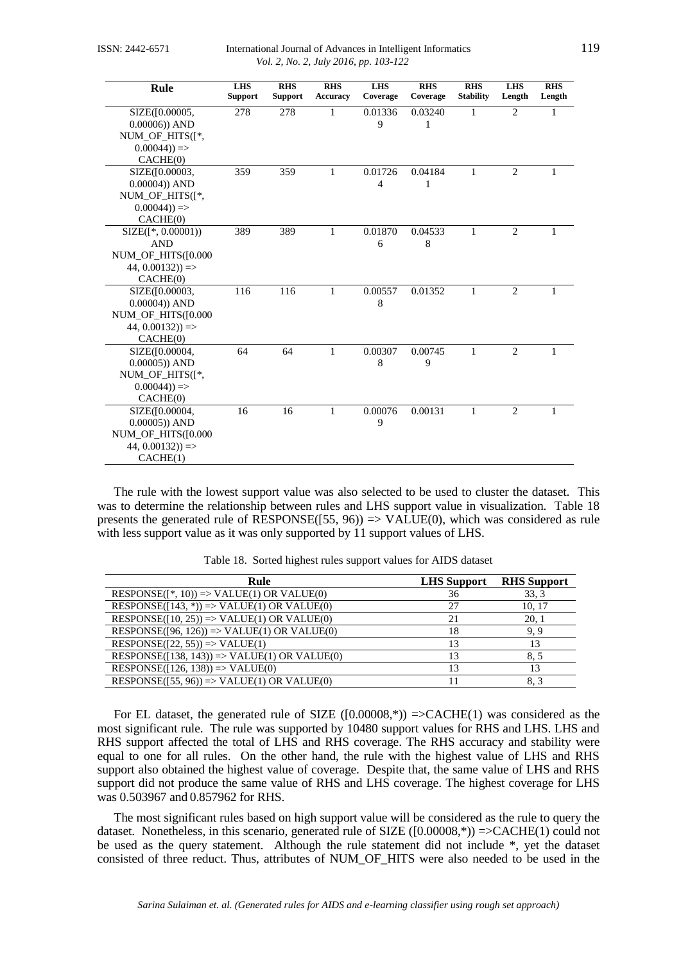| Rule                              | <b>LHS</b><br><b>Support</b> | R <sub>H</sub><br><b>Support</b> | <b>RHS</b><br>Accuracy | <b>LHS</b><br>Coverage | R <sub>HS</sub><br>Coverage | R <sub>HS</sub><br><b>Stability</b> | <b>LHS</b><br>Length | <b>RHS</b><br>Length |
|-----------------------------------|------------------------------|----------------------------------|------------------------|------------------------|-----------------------------|-------------------------------------|----------------------|----------------------|
| SIZE(10.00005,<br>$0.00006$ ) AND | 278                          | 278                              | $\mathbf{1}$           | 0.01336<br>9           | 0.03240<br>1                | 1                                   | $\overline{2}$       | $\mathbf{1}$         |
| NUM_OF_HITS([*,                   |                              |                                  |                        |                        |                             |                                     |                      |                      |
| $0.00044)$ =>                     |                              |                                  |                        |                        |                             |                                     |                      |                      |
| CACHE(0)                          |                              |                                  |                        |                        |                             |                                     |                      |                      |
| SIZE(10.00003,                    | 359                          | 359                              | $\mathbf{1}$           | 0.01726                | 0.04184                     | 1                                   | 2                    | $\mathbf{1}$         |
| $0.00004$ ) AND                   |                              |                                  |                        | $\overline{4}$         | 1                           |                                     |                      |                      |
| NUM_OF_HITS([*,                   |                              |                                  |                        |                        |                             |                                     |                      |                      |
| $0.00044)$ =>                     |                              |                                  |                        |                        |                             |                                     |                      |                      |
| CACHE(0)                          |                              |                                  |                        |                        |                             |                                     |                      |                      |
| $SIZE([*, 0.00001))$              | 389                          | 389                              | 1                      | 0.01870                | 0.04533                     | 1                                   | 2                    | 1                    |
| <b>AND</b>                        |                              |                                  |                        | 6                      | 8                           |                                     |                      |                      |
| NUM OF HITS([0.000                |                              |                                  |                        |                        |                             |                                     |                      |                      |
| $44, 0.00132)$ =>                 |                              |                                  |                        |                        |                             |                                     |                      |                      |
| CACHE(0)                          |                              |                                  |                        |                        |                             |                                     |                      |                      |
| SIZE(10.00003,                    | 116                          | 116                              | 1                      | 0.00557                | 0.01352                     | 1                                   | 2                    | 1                    |
| $0.00004$ ) AND                   |                              |                                  |                        | 8                      |                             |                                     |                      |                      |
| NUM OF HITS([0.000                |                              |                                  |                        |                        |                             |                                     |                      |                      |
| $44, 0.00132)$ =>                 |                              |                                  |                        |                        |                             |                                     |                      |                      |
| CACHE(0)                          |                              |                                  |                        |                        |                             |                                     |                      |                      |
| SIZE([0.00004,                    | 64                           | 64                               | $\mathbf{1}$           | 0.00307                | 0.00745                     | $\mathbf{1}$                        | $\overline{2}$       | 1                    |
| $0.00005$ ) AND                   |                              |                                  |                        | 8                      | 9                           |                                     |                      |                      |
| NUM OF HITS([*,                   |                              |                                  |                        |                        |                             |                                     |                      |                      |
| $0.00044)$ =>                     |                              |                                  |                        |                        |                             |                                     |                      |                      |
| CACHE(0)                          |                              |                                  |                        |                        |                             |                                     |                      |                      |
| SIZE(10.00004,                    | 16                           | 16                               | 1                      | 0.00076                | 0.00131                     | 1                                   | $\overline{2}$       | 1                    |
| $0.00005$ ) AND                   |                              |                                  |                        | 9                      |                             |                                     |                      |                      |
| NUM_OF_HITS([0.000                |                              |                                  |                        |                        |                             |                                     |                      |                      |
| $44, 0.00132)$ =>                 |                              |                                  |                        |                        |                             |                                     |                      |                      |
| CACHE(1)                          |                              |                                  |                        |                        |                             |                                     |                      |                      |

The rule with the lowest support value was also selected to be used to cluster the dataset. This was to determine the relationship between rules and LHS support value in visualization. Table 18 presents the generated rule of RESPONSE([55, 96))  $\Rightarrow$  VALUE(0), which was considered as rule with less support value as it was only supported by 11 support values of LHS.

| Rule                                                    | <b>LHS</b> Support | <b>RHS</b> Support |
|---------------------------------------------------------|--------------------|--------------------|
| $RESPONSE(\lceil^*, 10\rceil)$ => VALUE(1) OR VALUE(0)  | 36                 | 33.3               |
| $RESPONSE([143, *)) => VALUE(1) OR VALUE(0)$            | 27                 | 10.17              |
| $RESPONSE([10, 25)) \Rightarrow VALUE(1) OR VALUE(0)$   |                    | 20.1               |
| $RESPONSE([96, 126)) \Rightarrow VALUE(1) OR VALUE(0)$  | 18                 | 9.9                |
| $RESPONSE([22, 55)) \Rightarrow VALUE(1)$               | 13                 | 13                 |
| $RESPONSE([138, 143)) \Rightarrow VALUE(1) OR VALUE(0)$ | 13                 | 8.5                |
| $RESPONSE([126, 138)) \Rightarrow VALUE(0)$             |                    | 13                 |
| $RESPONSE([55, 96)) \Rightarrow VALUE(1) OR VALUE(0)$   |                    | 8.3                |

Table 18. Sorted highest rules support values for AIDS dataset

For EL dataset, the generated rule of SIZE  $([0.00008,*)$  =>CACHE(1) was considered as the most significant rule. The rule was supported by 10480 support values for RHS and LHS. LHS and RHS support affected the total of LHS and RHS coverage. The RHS accuracy and stability were equal to one for all rules. On the other hand, the rule with the highest value of LHS and RHS support also obtained the highest value of coverage. Despite that, the same value of LHS and RHS support did not produce the same value of RHS and LHS coverage. The highest coverage for LHS was 0.503967 and 0.857962 for RHS.

The most significant rules based on high support value will be considered as the rule to query the dataset. Nonetheless, in this scenario, generated rule of SIZE ([0.00008,\*)) =>CACHE(1) could not be used as the query statement. Although the rule statement did not include \*, yet the dataset consisted of three reduct. Thus, attributes of NUM\_OF\_HITS were also needed to be used in the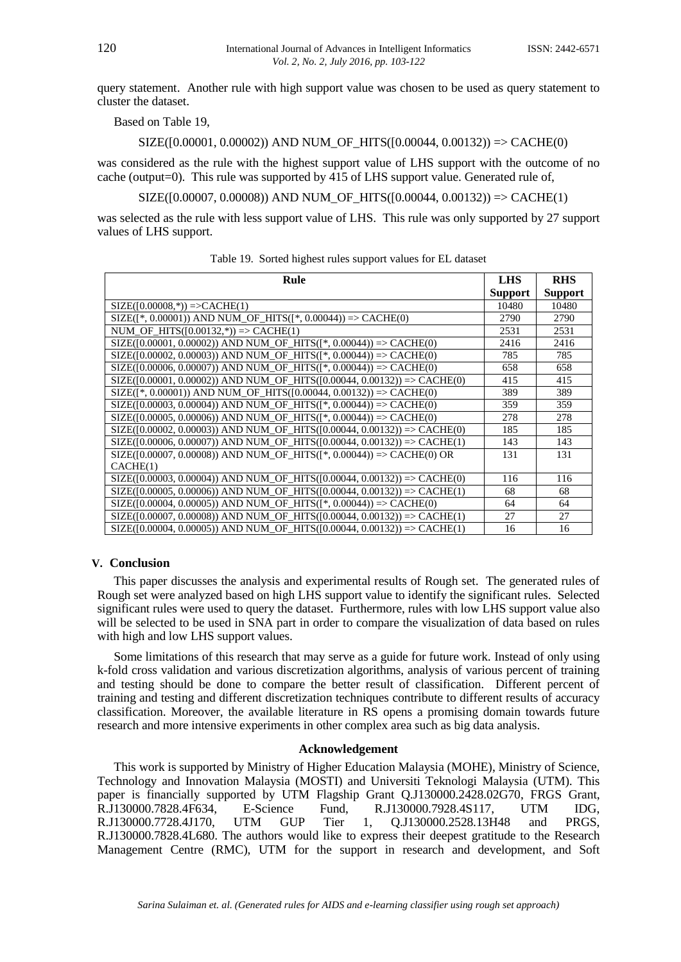query statement. Another rule with high support value was chosen to be used as query statement to cluster the dataset.

Based on Table 19,

# $SIZE([0.00001, 0.00002))$  AND NUM\_OF\_HITS( $[0.00044, 0.00132)$ ) => CACHE(0)

was considered as the rule with the highest support value of LHS support with the outcome of no cache (output=0). This rule was supported by 415 of LHS support value. Generated rule of,

 $SIZE([0.00007, 0.00008))$  AND NUM\_OF\_HITS([0.00044, 0.00132)) => CACHE(1)

was selected as the rule with less support value of LHS. This rule was only supported by 27 support values of LHS support.

| Rule                                                                           | <b>LHS</b>     | <b>RHS</b>     |
|--------------------------------------------------------------------------------|----------------|----------------|
|                                                                                | <b>Support</b> | <b>Support</b> |
| $SIZE([0.00008,*))=>CACLE(1)$                                                  | 10480          | 10480          |
| $SIZE([*, 0.00001))$ AND NUM_OF_HITS( $[*, 0.00044))$ => CACHE(0)              | 2790           | 2790           |
| NUM_OF_HITS( $[0.00132,^*)$ ) => CACHE(1)                                      | 2531           | 2531           |
| $SIZE([0.00001, 0.00002))$ AND NUM_OF_HITS([*, 0.00044)) => CACHE(0)           | 2416           | 2416           |
| $SIZE([0.00002, 0.00003))$ AND NUM_OF_HITS([*, 0.00044)) => CACHE(0)           | 785            | 785            |
| SIZE([0.00006, 0.00007)) AND NUM_OF_HITS([*, 0.00044)) => CACHE(0)             | 658            | 658            |
| $SIZE([0.00001, 0.00002))$ AND NUM OF HITS([0.00044, 0.00132)) => CACHE(0)     | 415            | 415            |
| $SIZE([*, 0.00001))$ AND NUM_OF_HITS([0.00044, 0.00132)) => CACHE(0)           | 389            | 389            |
| SIZE([0.00003, 0.00004)) AND NUM_OF_HITS([*, 0.00044)) => CACHE(0)             | 359            | 359            |
| $SIZE([0.00005, 0.00006))$ AND NUM OF HITS([ $*$ , 0.00044)) => CACHE(0)       | 278            | 278            |
| $SIZE([0.00002, 0.00003))$ AND NUM OF HITS([0.00044, 0.00132)) => CACHE(0)     | 185            | 185            |
| $SIZE([0.00006, 0.00007))$ AND NUM OF HITS([0.00044, 0.00132)) => CACHE(1)     | 143            | 143            |
| $SIZE([0.00007, 0.00008))$ AND NUM_OF_HITS([*, 0.00044)) => CACHE(0) OR        | 131            | 131            |
| CACHE(1)                                                                       |                |                |
| $SIZE([0.00003, 0.00004))$ AND NUM OF HITS([0.00044, 0.00132)) => CACHE(0)     | 116            | 116            |
| $SIZE([0.00005, 0.00006))$ AND NUM OF HITS([0.00044, 0.00132)) => CACHE(1)     | 68             | 68             |
| $SIZE([0.00004, 0.00005))$ AND NUM OF HITS([*, 0.00044)) => CACHE(0)           | 64             | 64             |
| $SIZE([0.00007, 0.00008))$ AND NUM OF HITS( $[0.00044, 0.00132)$ ) => CACHE(1) | 27             | 27             |
| $SIZE([0.00004, 0.00005))$ AND NUM_OF_HITS([0.00044, 0.00132)) => CACHE(1)     | 16             | 16             |

# Table 19. Sorted highest rules support values for EL dataset

# **V. Conclusion**

This paper discusses the analysis and experimental results of Rough set. The generated rules of Rough set were analyzed based on high LHS support value to identify the significant rules. Selected significant rules were used to query the dataset. Furthermore, rules with low LHS support value also will be selected to be used in SNA part in order to compare the visualization of data based on rules with high and low LHS support values.

Some limitations of this research that may serve as a guide for future work. Instead of only using k-fold cross validation and various discretization algorithms, analysis of various percent of training and testing should be done to compare the better result of classification. Different percent of training and testing and different discretization techniques contribute to different results of accuracy classification. Moreover, the available literature in RS opens a promising domain towards future research and more intensive experiments in other complex area such as big data analysis.

# **Acknowledgement**

This work is supported by Ministry of Higher Education Malaysia (MOHE), Ministry of Science, Technology and Innovation Malaysia (MOSTI) and Universiti Teknologi Malaysia (UTM). This paper is financially supported by UTM Flagship Grant Q.J130000.2428.02G70, FRGS Grant, R.J130000.7828.4F634, E-Science Fund, R.J130000.7928.4S117, UTM IDG, R.J130000.7728.4J170, UTM GUP Tier 1, Q.J130000.2528.13H48 and PRGS, R.J130000.7828.4L680. The authors would like to express their deepest gratitude to the Research Management Centre (RMC), UTM for the support in research and development, and Soft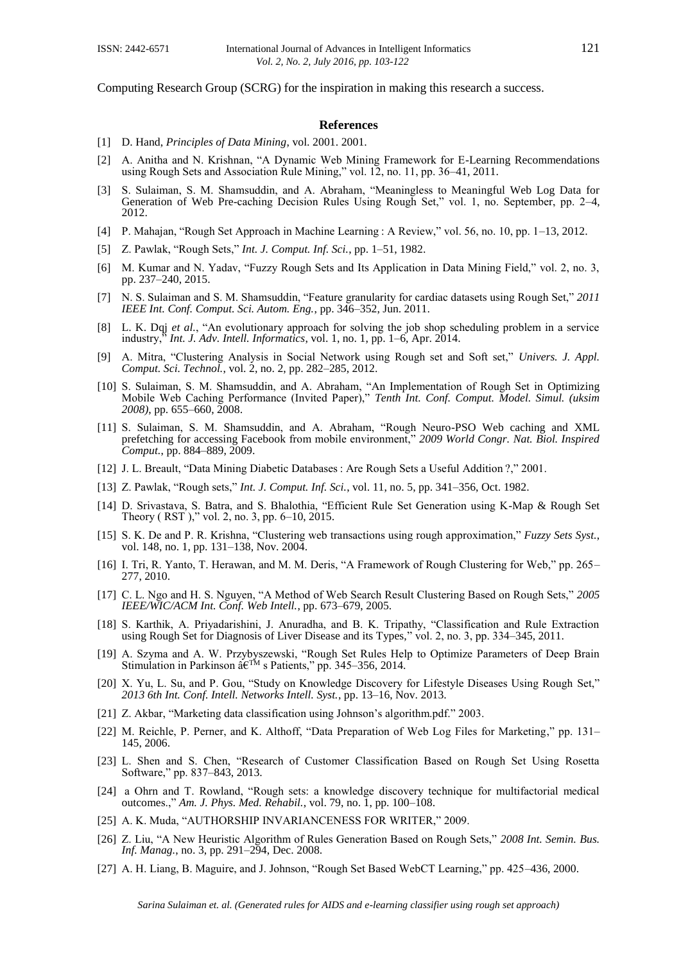Computing Research Group (SCRG) for the inspiration in making this research a success.

#### **References**

- [1] D. Hand, *Principles of Data Mining*, vol. 2001. 2001.
- [2] A. Anitha and N. Krishnan, "A Dynamic Web Mining Framework for E-Learning Recommendations using Rough Sets and Association Rule Mining," vol. 12, no. 11, pp. 36–41, 2011.
- [3] S. Sulaiman, S. M. Shamsuddin, and A. Abraham, "Meaningless to Meaningful Web Log Data for Generation of Web Pre-caching Decision Rules Using Rough Set," vol. 1, no. September, pp. 2–4, 2012.
- [4] P. Mahajan, "Rough Set Approach in Machine Learning : A Review," vol. 56, no. 10, pp. 1–13, 2012.
- [5] Z. Pawlak, "Rough Sets," *Int. J. Comput. Inf. Sci.*, pp. 1–51, 1982.
- [6] M. Kumar and N. Yadav, "Fuzzy Rough Sets and Its Application in Data Mining Field," vol. 2, no. 3, pp. 237–240, 2015.
- [7] N. S. Sulaiman and S. M. Shamsuddin, "Feature granularity for cardiac datasets using Rough Set," *2011 IEEE Int. Conf. Comput. Sci. Autom. Eng.*, pp. 346–352, Jun. 2011.
- [8] L. K. Dqj *et al.*, "An evolutionary approach for solving the job shop scheduling problem in a service industry," *Int. J. Adv. Intell. Informatics*, vol. 1, no. 1, pp. 1–6, Apr. 2014.
- [9] A. Mitra, "Clustering Analysis in Social Network using Rough set and Soft set," *Univers. J. Appl. Comput. Sci. Technol.*, vol. 2, no. 2, pp. 282–285, 2012.
- [10] S. Sulaiman, S. M. Shamsuddin, and A. Abraham, "An Implementation of Rough Set in Optimizing Mobile Web Caching Performance (Invited Paper)," *Tenth Int. Conf. Comput. Model. Simul. (uksim 2008)*, pp. 655–660, 2008.
- [11] S. Sulaiman, S. M. Shamsuddin, and A. Abraham, "Rough Neuro-PSO Web caching and XML prefetching for accessing Facebook from mobile environment," *2009 World Congr. Nat. Biol. Inspired Comput.*, pp. 884–889, 2009.
- [12] J. L. Breault, "Data Mining Diabetic Databases : Are Rough Sets a Useful Addition ?," 2001.
- [13] Z. Pawlak, "Rough sets," *Int. J. Comput. Inf. Sci.*, vol. 11, no. 5, pp. 341–356, Oct. 1982.
- [14] D. Srivastava, S. Batra, and S. Bhalothia, "Efficient Rule Set Generation using K-Map & Rough Set Theory ( RST )," vol. 2, no. 3, pp. 6–10, 2015.
- [15] S. K. De and P. R. Krishna, "Clustering web transactions using rough approximation," *Fuzzy Sets Syst.*, vol. 148, no. 1, pp. 131–138, Nov. 2004.
- [16] I. Tri, R. Yanto, T. Herawan, and M. M. Deris, "A Framework of Rough Clustering for Web," pp. 265– 277, 2010.
- [17] C. L. Ngo and H. S. Nguyen, "A Method of Web Search Result Clustering Based on Rough Sets," *2005 IEEE/WIC/ACM Int. Conf. Web Intell.*, pp. 673–679, 2005.
- [18] S. Karthik, A. Priyadarishini, J. Anuradha, and B. K. Tripathy, "Classification and Rule Extraction using Rough Set for Diagnosis of Liver Disease and its Types," vol. 2, no. 3, pp. 334–345, 2011.
- [19] A. Szyma and A. W. Przybyszewski, "Rough Set Rules Help to Optimize Parameters of Deep Brain Stimulation in Parkinson â€<sup>™</sup> s Patients," pp. 345–356, 2014.
- [20] X. Yu, L. Su, and P. Gou, "Study on Knowledge Discovery for Lifestyle Diseases Using Rough Set," *2013 6th Int. Conf. Intell. Networks Intell. Syst.*, pp. 13–16, Nov. 2013.
- [21] Z. Akbar, "Marketing data classification using Johnson's algorithm.pdf." 2003.
- [22] M. Reichle, P. Perner, and K. Althoff, "Data Preparation of Web Log Files for Marketing," pp. 131– 145, 2006.
- [23] L. Shen and S. Chen, "Research of Customer Classification Based on Rough Set Using Rosetta Software," pp. 837–843, 2013.
- [24] a Ohrn and T. Rowland, "Rough sets: a knowledge discovery technique for multifactorial medical outcomes.," *Am. J. Phys. Med. Rehabil.*, vol. 79, no. 1, pp. 100–108.
- [25] A. K. Muda, "AUTHORSHIP INVARIANCENESS FOR WRITER," 2009.
- [26] Z. Liu, "A New Heuristic Algorithm of Rules Generation Based on Rough Sets," *2008 Int. Semin. Bus.*  Inf. Manag., no. 3, pp. 291-294, Dec. 2008.
- [27] A. H. Liang, B. Maguire, and J. Johnson, "Rough Set Based WebCT Learning," pp. 425–436, 2000.